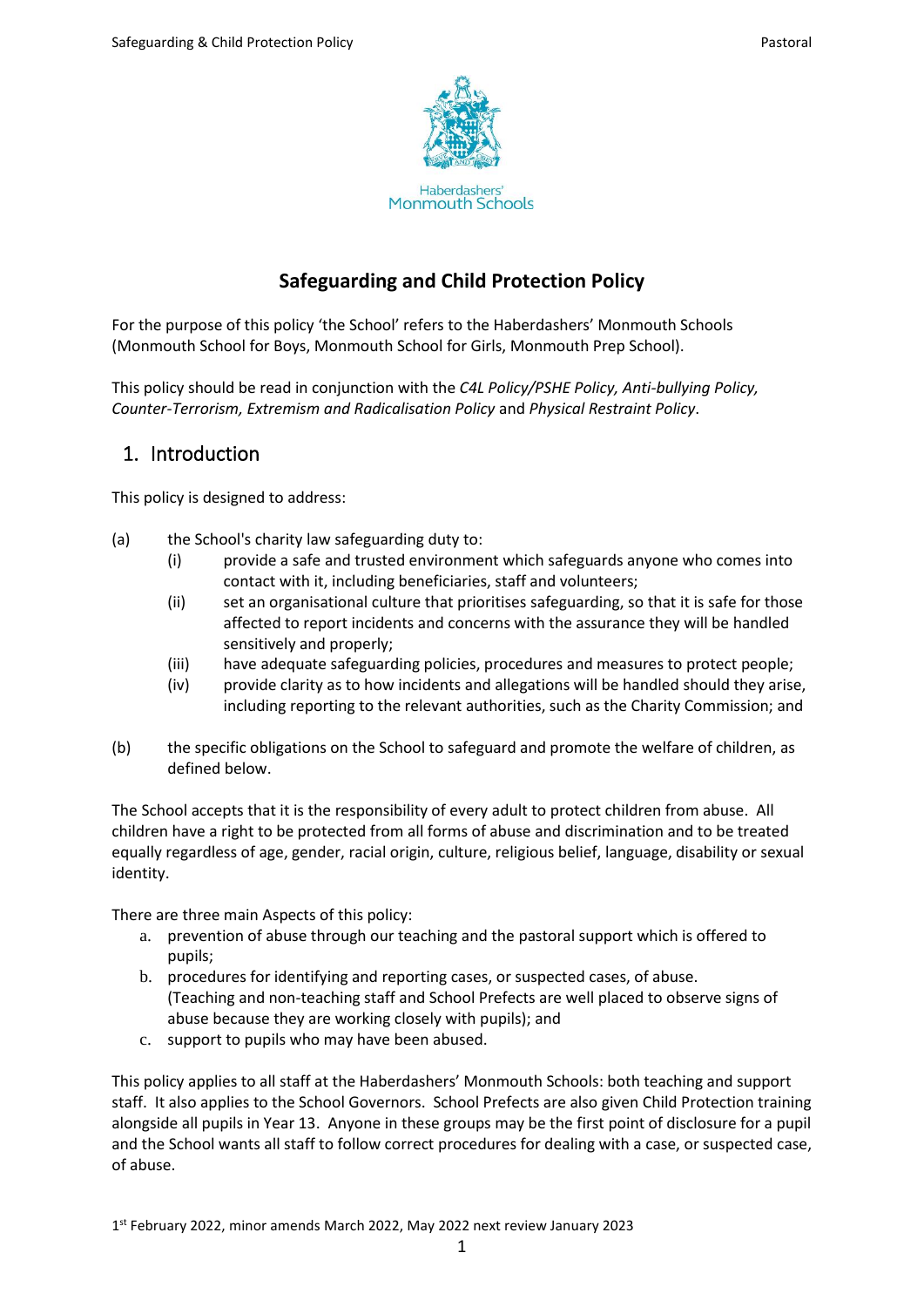

# **Safeguarding and Child Protection Policy**

For the purpose of this policy 'the School' refers to the Haberdashers' Monmouth Schools (Monmouth School for Boys, Monmouth School for Girls, Monmouth Prep School).

This policy should be read in conjunction with the *C4L Policy/PSHE Policy, Anti-bullying Policy, Counter-Terrorism, Extremism and Radicalisation Policy* and *Physical Restraint Policy*.

# 1. Introduction

This policy is designed to address:

- (a) the School's charity law safeguarding duty to:
	- (i) provide a safe and trusted environment which safeguards anyone who comes into contact with it, including beneficiaries, staff and volunteers;
	- (ii) set an organisational culture that prioritises safeguarding, so that it is safe for those affected to report incidents and concerns with the assurance they will be handled sensitively and properly;
	- (iii) have adequate safeguarding policies, procedures and measures to protect people;
	- (iv) provide clarity as to how incidents and allegations will be handled should they arise, including reporting to the relevant authorities, such as the Charity Commission; and
- (b) the specific obligations on the School to safeguard and promote the welfare of children, as defined below.

The School accepts that it is the responsibility of every adult to protect children from abuse. All children have a right to be protected from all forms of abuse and discrimination and to be treated equally regardless of age, gender, racial origin, culture, religious belief, language, disability or sexual identity.

There are three main Aspects of this policy:

- a. prevention of abuse through our teaching and the pastoral support which is offered to pupils;
- b. procedures for identifying and reporting cases, or suspected cases, of abuse. (Teaching and non-teaching staff and School Prefects are well placed to observe signs of abuse because they are working closely with pupils); and
- c. support to pupils who may have been abused.

This policy applies to all staff at the Haberdashers' Monmouth Schools: both teaching and support staff. It also applies to the School Governors. School Prefects are also given Child Protection training alongside all pupils in Year 13. Anyone in these groups may be the first point of disclosure for a pupil and the School wants all staff to follow correct procedures for dealing with a case, or suspected case, of abuse.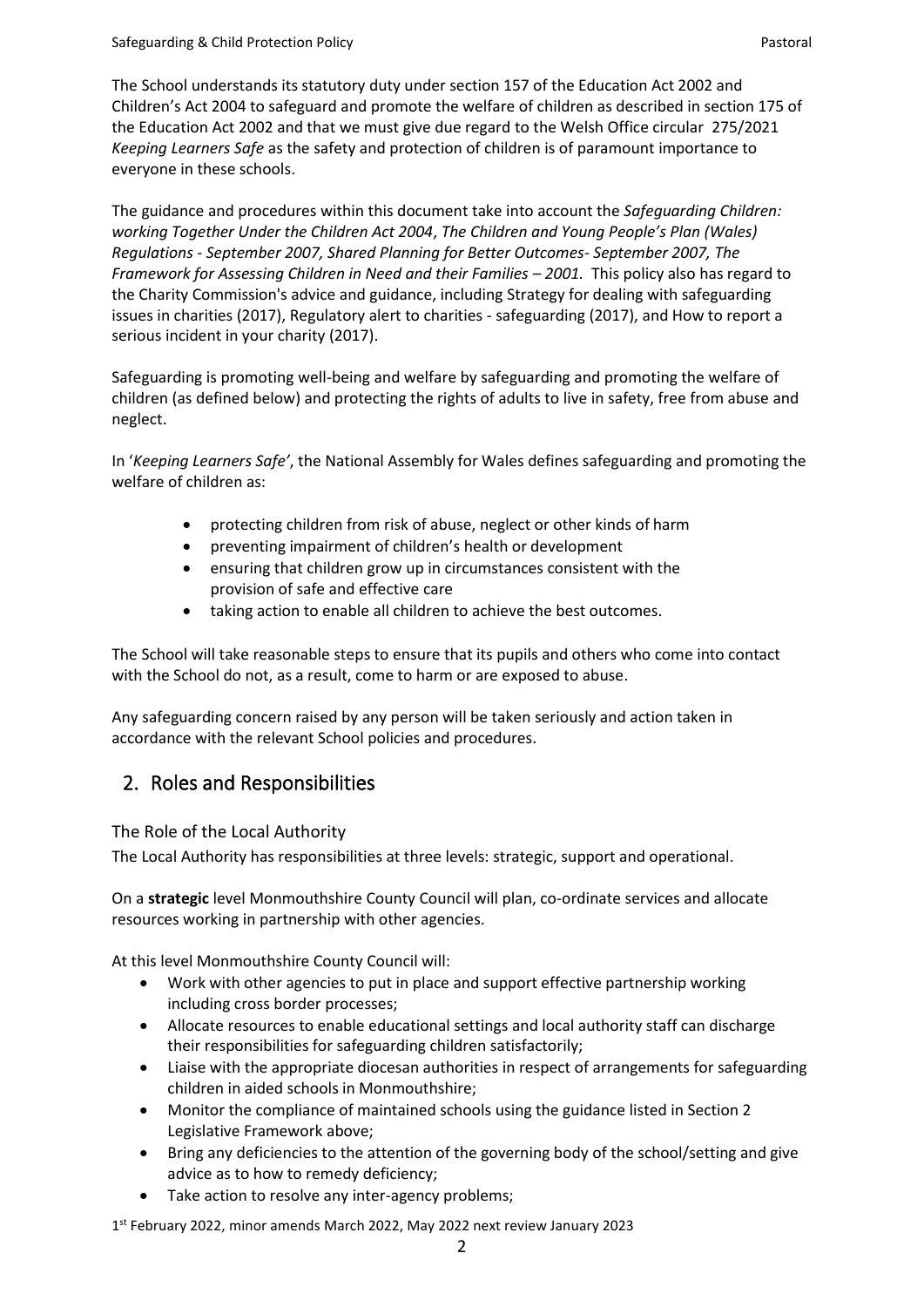The School understands its statutory duty under section 157 of the Education Act 2002 and Children's Act 2004 to safeguard and promote the welfare of children as described in section 175 of the Education Act 2002 and that we must give due regard to the Welsh Office circular 275/2021 *Keeping Learners Safe* as the safety and protection of children is of paramount importance to everyone in these schools.

The guidance and procedures within this document take into account the *Safeguarding Children: working Together Under the Children Act 2004*, *The Children and Young People's Plan (Wales) Regulations - September 2007, Shared Planning for Better Outcomes- September 2007, The Framework for Assessing Children in Need and their Families – 2001.* This policy also has regard to the Charity Commission's advice and guidance, including Strategy for dealing with safeguarding issues in charities (2017), Regulatory alert to charities - safeguarding (2017), and How to report a serious incident in your charity (2017).

Safeguarding is promoting well-being and welfare by safeguarding and promoting the welfare of children (as defined below) and protecting the rights of adults to live in safety, free from abuse and neglect.

In '*Keeping Learners Safe'*, the National Assembly for Wales defines safeguarding and promoting the welfare of children as:

- protecting children from risk of abuse, neglect or other kinds of harm
- preventing impairment of children's health or development
- ensuring that children grow up in circumstances consistent with the provision of safe and effective care
- taking action to enable all children to achieve the best outcomes.

The School will take reasonable steps to ensure that its pupils and others who come into contact with the School do not, as a result, come to harm or are exposed to abuse.

Any safeguarding concern raised by any person will be taken seriously and action taken in accordance with the relevant School policies and procedures.

# 2. Roles and Responsibilities

The Role of the Local Authority

The Local Authority has responsibilities at three levels: strategic, support and operational.

On a **strategic** level Monmouthshire County Council will plan, co-ordinate services and allocate resources working in partnership with other agencies.

At this level Monmouthshire County Council will:

- Work with other agencies to put in place and support effective partnership working including cross border processes;
- Allocate resources to enable educational settings and local authority staff can discharge their responsibilities for safeguarding children satisfactorily;
- Liaise with the appropriate diocesan authorities in respect of arrangements for safeguarding children in aided schools in Monmouthshire;
- Monitor the compliance of maintained schools using the guidance listed in Section 2 Legislative Framework above;
- Bring any deficiencies to the attention of the governing body of the school/setting and give advice as to how to remedy deficiency;
- Take action to resolve any inter-agency problems;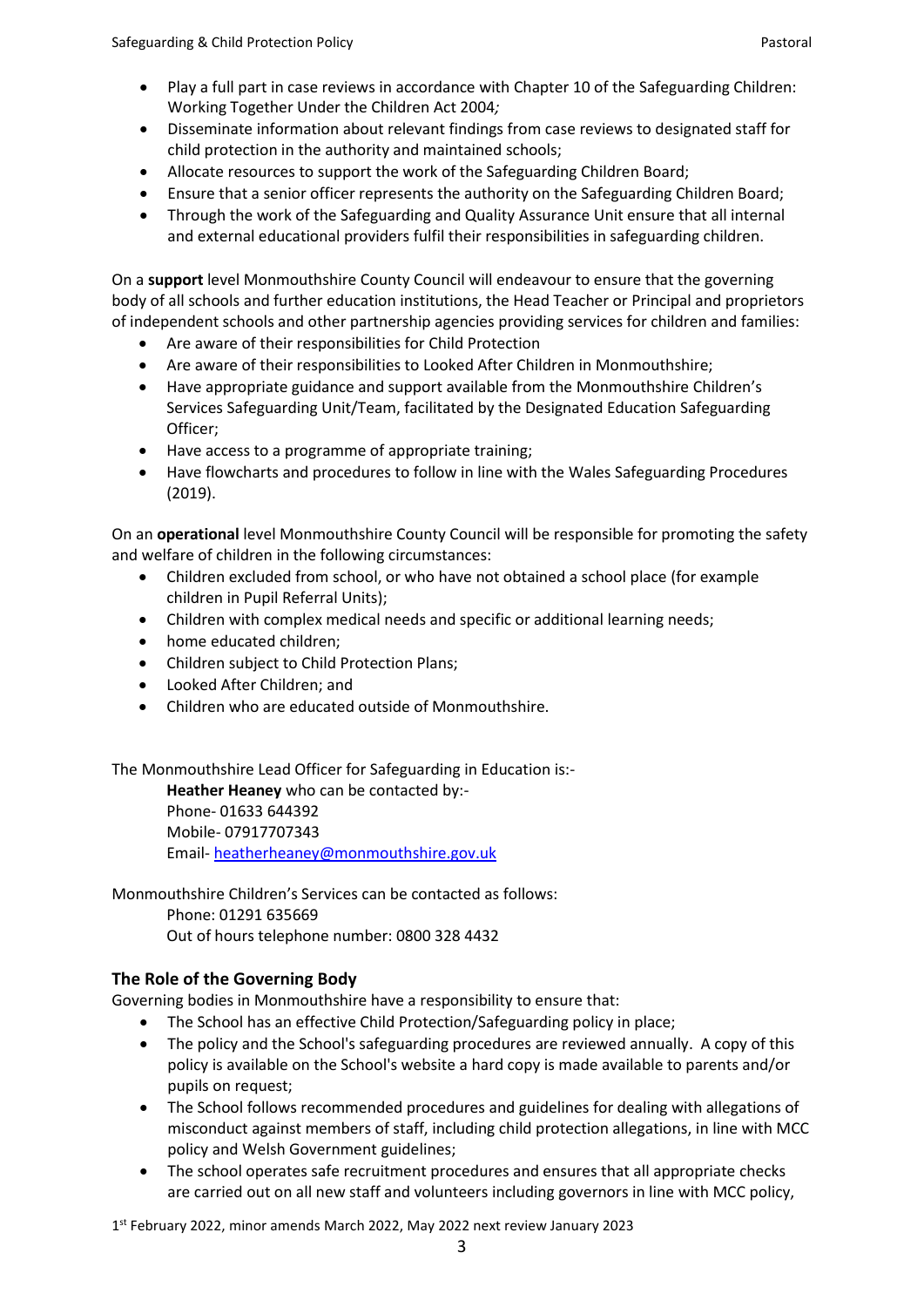- Play a full part in case reviews in accordance with Chapter 10 of the Safeguarding Children: Working Together Under the Children Act 2004*;*
- Disseminate information about relevant findings from case reviews to designated staff for child protection in the authority and maintained schools;
- Allocate resources to support the work of the Safeguarding Children Board;
- Ensure that a senior officer represents the authority on the Safeguarding Children Board;
- Through the work of the Safeguarding and Quality Assurance Unit ensure that all internal and external educational providers fulfil their responsibilities in safeguarding children.

On a **support** level Monmouthshire County Council will endeavour to ensure that the governing body of all schools and further education institutions, the Head Teacher or Principal and proprietors of independent schools and other partnership agencies providing services for children and families:

- Are aware of their responsibilities for Child Protection
- Are aware of their responsibilities to Looked After Children in Monmouthshire;
- Have appropriate guidance and support available from the Monmouthshire Children's Services Safeguarding Unit/Team, facilitated by the Designated Education Safeguarding Officer;
- Have access to a programme of appropriate training;
- Have flowcharts and procedures to follow in line with the Wales Safeguarding Procedures (2019).

On an **operational** level Monmouthshire County Council will be responsible for promoting the safety and welfare of children in the following circumstances:

- Children excluded from school, or who have not obtained a school place (for example children in Pupil Referral Units);
- Children with complex medical needs and specific or additional learning needs;
- home educated children;
- Children subject to Child Protection Plans;
- Looked After Children; and
- Children who are educated outside of Monmouthshire.

The Monmouthshire Lead Officer for Safeguarding in Education is:-

**Heather Heaney** who can be contacted by:- Phone- 01633 644392 Mobile- 07917707343 Email- [heatherheaney@monmouthshire.gov.uk](mailto:heatherheaney@monmouthshire.gov.uk)

Monmouthshire Children's Services can be contacted as follows: Phone: 01291 635669 Out of hours telephone number: 0800 328 4432

## **The Role of the Governing Body**

Governing bodies in Monmouthshire have a responsibility to ensure that:

- The School has an effective Child Protection/Safeguarding policy in place;
- The policy and the School's safeguarding procedures are reviewed annually. A copy of this policy is available on the School's website a hard copy is made available to parents and/or pupils on request;
- The School follows recommended procedures and guidelines for dealing with allegations of misconduct against members of staff, including child protection allegations, in line with MCC policy and Welsh Government guidelines;
- The school operates safe recruitment procedures and ensures that all appropriate checks are carried out on all new staff and volunteers including governors in line with MCC policy,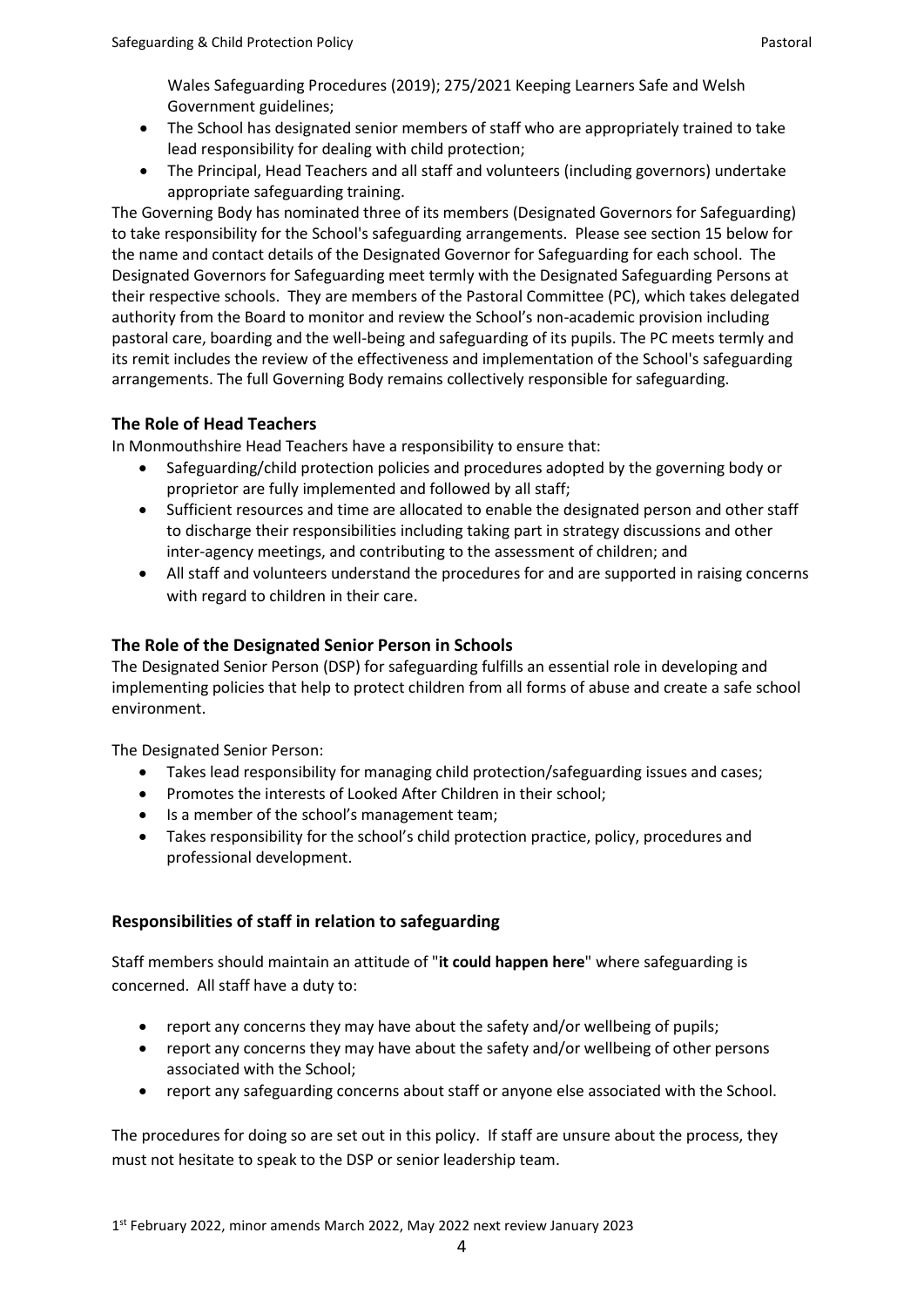Wales Safeguarding Procedures (2019); 275/2021 Keeping Learners Safe and Welsh Government guidelines;

- The School has designated senior members of staff who are appropriately trained to take lead responsibility for dealing with child protection;
- The Principal, Head Teachers and all staff and volunteers (including governors) undertake appropriate safeguarding training.

The Governing Body has nominated three of its members (Designated Governors for Safeguarding) to take responsibility for the School's safeguarding arrangements. Please see section [15](#page-15-0) below for the name and contact details of the Designated Governor for Safeguarding for each school. The Designated Governors for Safeguarding meet termly with the Designated Safeguarding Persons at their respective schools. They are members of the Pastoral Committee (PC), which takes delegated authority from the Board to monitor and review the School's non-academic provision including pastoral care, boarding and the well-being and safeguarding of its pupils. The PC meets termly and its remit includes the review of the effectiveness and implementation of the School's safeguarding arrangements. The full Governing Body remains collectively responsible for safeguarding.

# **The Role of Head Teachers**

In Monmouthshire Head Teachers have a responsibility to ensure that:

- Safeguarding/child protection policies and procedures adopted by the governing body or proprietor are fully implemented and followed by all staff;
- Sufficient resources and time are allocated to enable the designated person and other staff to discharge their responsibilities including taking part in strategy discussions and other inter-agency meetings, and contributing to the assessment of children; and
- All staff and volunteers understand the procedures for and are supported in raising concerns with regard to children in their care.

# **The Role of the Designated Senior Person in Schools**

The Designated Senior Person (DSP) for safeguarding fulfills an essential role in developing and implementing policies that help to protect children from all forms of abuse and create a safe school environment.

The Designated Senior Person:

- Takes lead responsibility for managing child protection/safeguarding issues and cases;
- Promotes the interests of Looked After Children in their school;
- Is a member of the school's management team;
- Takes responsibility for the school's child protection practice, policy, procedures and professional development.

# **Responsibilities of staff in relation to safeguarding**

Staff members should maintain an attitude of "**it could happen here**" where safeguarding is concerned. All staff have a duty to:

- report any concerns they may have about the safety and/or wellbeing of pupils;
- report any concerns they may have about the safety and/or wellbeing of other persons associated with the School;
- report any safeguarding concerns about staff or anyone else associated with the School.

The procedures for doing so are set out in this policy. If staff are unsure about the process, they must not hesitate to speak to the DSP or senior leadership team.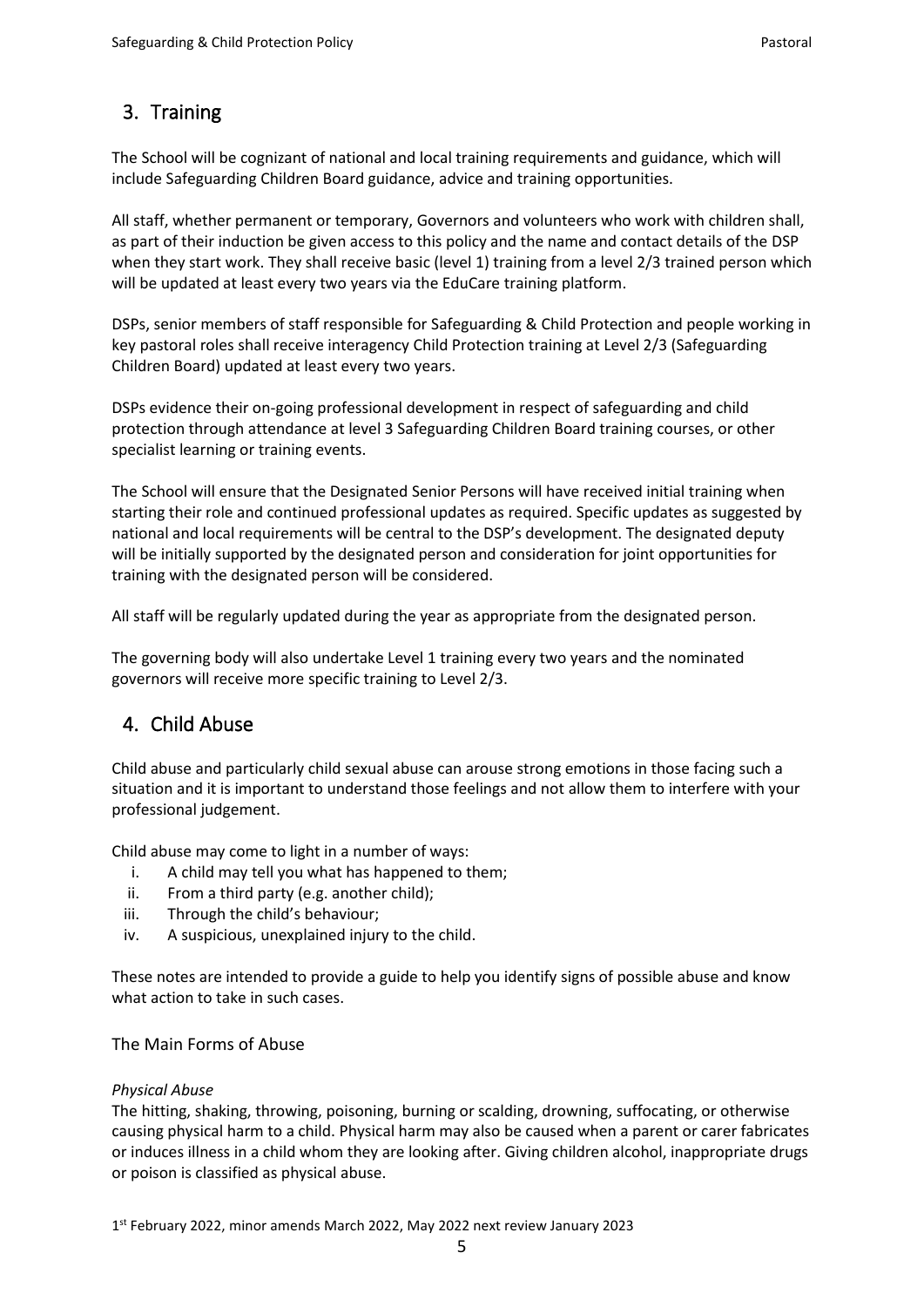# 3. Training

The School will be cognizant of national and local training requirements and guidance, which will include Safeguarding Children Board guidance, advice and training opportunities.

All staff, whether permanent or temporary, Governors and volunteers who work with children shall, as part of their induction be given access to this policy and the name and contact details of the DSP when they start work. They shall receive basic (level 1) training from a level 2/3 trained person which will be updated at least every two years via the EduCare training platform.

DSPs, senior members of staff responsible for Safeguarding & Child Protection and people working in key pastoral roles shall receive interagency Child Protection training at Level 2/3 (Safeguarding Children Board) updated at least every two years.

DSPs evidence their on-going professional development in respect of safeguarding and child protection through attendance at level 3 Safeguarding Children Board training courses, or other specialist learning or training events.

The School will ensure that the Designated Senior Persons will have received initial training when starting their role and continued professional updates as required. Specific updates as suggested by national and local requirements will be central to the DSP's development. The designated deputy will be initially supported by the designated person and consideration for joint opportunities for training with the designated person will be considered.

All staff will be regularly updated during the year as appropriate from the designated person.

The governing body will also undertake Level 1 training every two years and the nominated governors will receive more specific training to Level 2/3.

# 4. Child Abuse

Child abuse and particularly child sexual abuse can arouse strong emotions in those facing such a situation and it is important to understand those feelings and not allow them to interfere with your professional judgement.

Child abuse may come to light in a number of ways:

- i. A child may tell you what has happened to them;
- ii. From a third party (e.g. another child);
- iii. Through the child's behaviour;
- iv. A suspicious, unexplained injury to the child.

These notes are intended to provide a guide to help you identify signs of possible abuse and know what action to take in such cases.

## The Main Forms of Abuse

## *Physical Abuse*

The hitting, shaking, throwing, poisoning, burning or scalding, drowning, suffocating, or otherwise causing physical harm to a child. Physical harm may also be caused when a parent or carer fabricates or induces illness in a child whom they are looking after. Giving children alcohol, inappropriate drugs or poison is classified as physical abuse.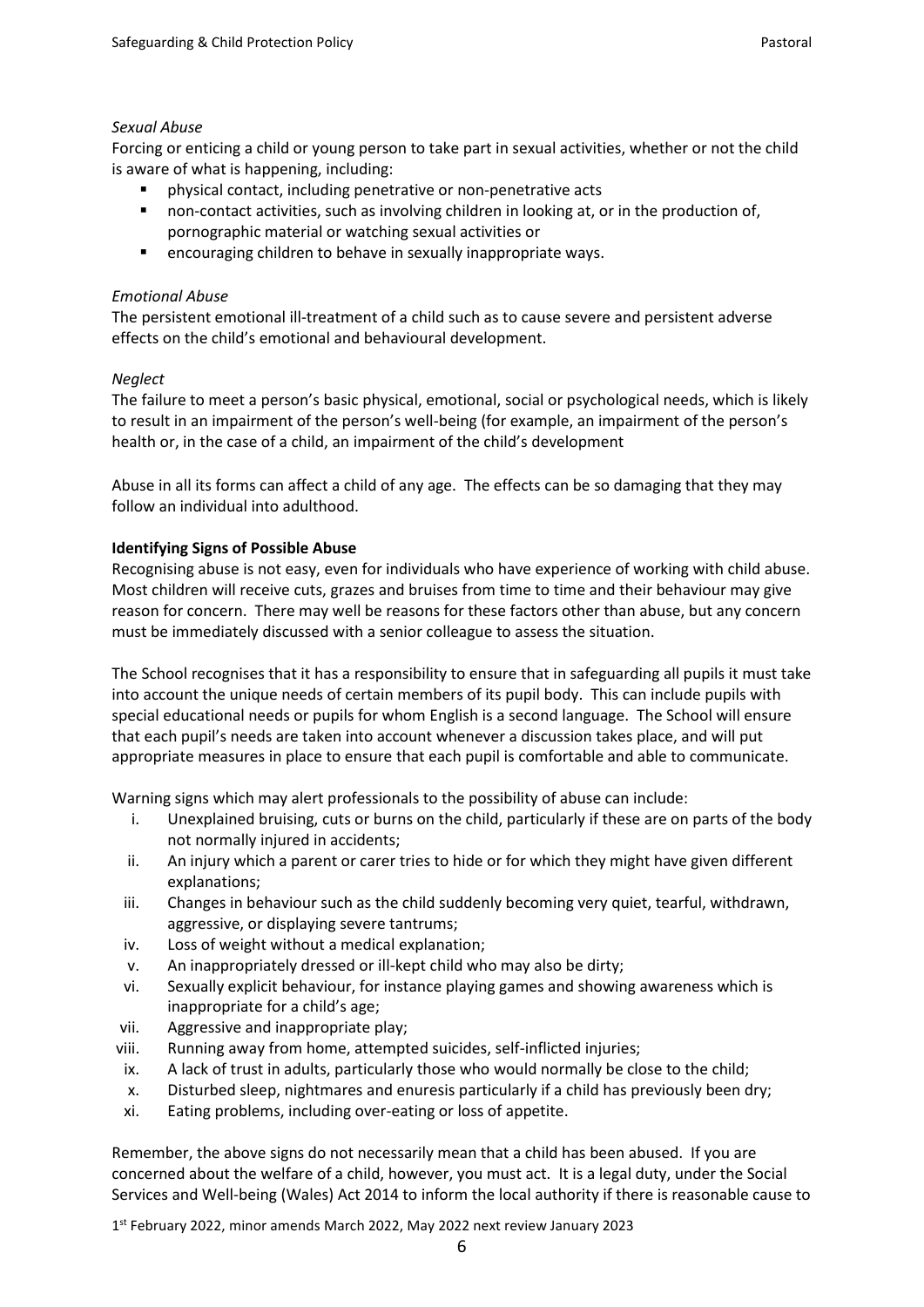#### *Sexual Abuse*

Forcing or enticing a child or young person to take part in sexual activities, whether or not the child is aware of what is happening, including:

- physical contact, including penetrative or non-penetrative acts
- non-contact activities, such as involving children in looking at, or in the production of, pornographic material or watching sexual activities or
- encouraging children to behave in sexually inappropriate ways.

## *Emotional Abuse*

The persistent emotional ill-treatment of a child such as to cause severe and persistent adverse effects on the child's emotional and behavioural development.

## *Neglect*

The failure to meet a person's basic physical, emotional, social or psychological needs, which is likely to result in an impairment of the person's well-being (for example, an impairment of the person's health or, in the case of a child, an impairment of the child's development

Abuse in all its forms can affect a child of any age. The effects can be so damaging that they may follow an individual into adulthood.

## **Identifying Signs of Possible Abuse**

Recognising abuse is not easy, even for individuals who have experience of working with child abuse. Most children will receive cuts, grazes and bruises from time to time and their behaviour may give reason for concern. There may well be reasons for these factors other than abuse, but any concern must be immediately discussed with a senior colleague to assess the situation.

The School recognises that it has a responsibility to ensure that in safeguarding all pupils it must take into account the unique needs of certain members of its pupil body. This can include pupils with special educational needs or pupils for whom English is a second language. The School will ensure that each pupil's needs are taken into account whenever a discussion takes place, and will put appropriate measures in place to ensure that each pupil is comfortable and able to communicate.

Warning signs which may alert professionals to the possibility of abuse can include:

- i. Unexplained bruising, cuts or burns on the child, particularly if these are on parts of the body not normally injured in accidents;
- ii. An injury which a parent or carer tries to hide or for which they might have given different explanations;
- iii. Changes in behaviour such as the child suddenly becoming very quiet, tearful, withdrawn, aggressive, or displaying severe tantrums;
- iv. Loss of weight without a medical explanation;
- v. An inappropriately dressed or ill-kept child who may also be dirty;
- vi. Sexually explicit behaviour, for instance playing games and showing awareness which is inappropriate for a child's age;
- vii. Aggressive and inappropriate play;
- viii. Running away from home, attempted suicides, self-inflicted injuries;
- ix. A lack of trust in adults, particularly those who would normally be close to the child;
- x. Disturbed sleep, nightmares and enuresis particularly if a child has previously been dry;
- xi. Eating problems, including over-eating or loss of appetite.

Remember, the above signs do not necessarily mean that a child has been abused. If you are concerned about the welfare of a child, however, you must act. It is a legal duty, under the Social Services and Well-being (Wales) Act 2014 to inform the local authority if there is reasonable cause to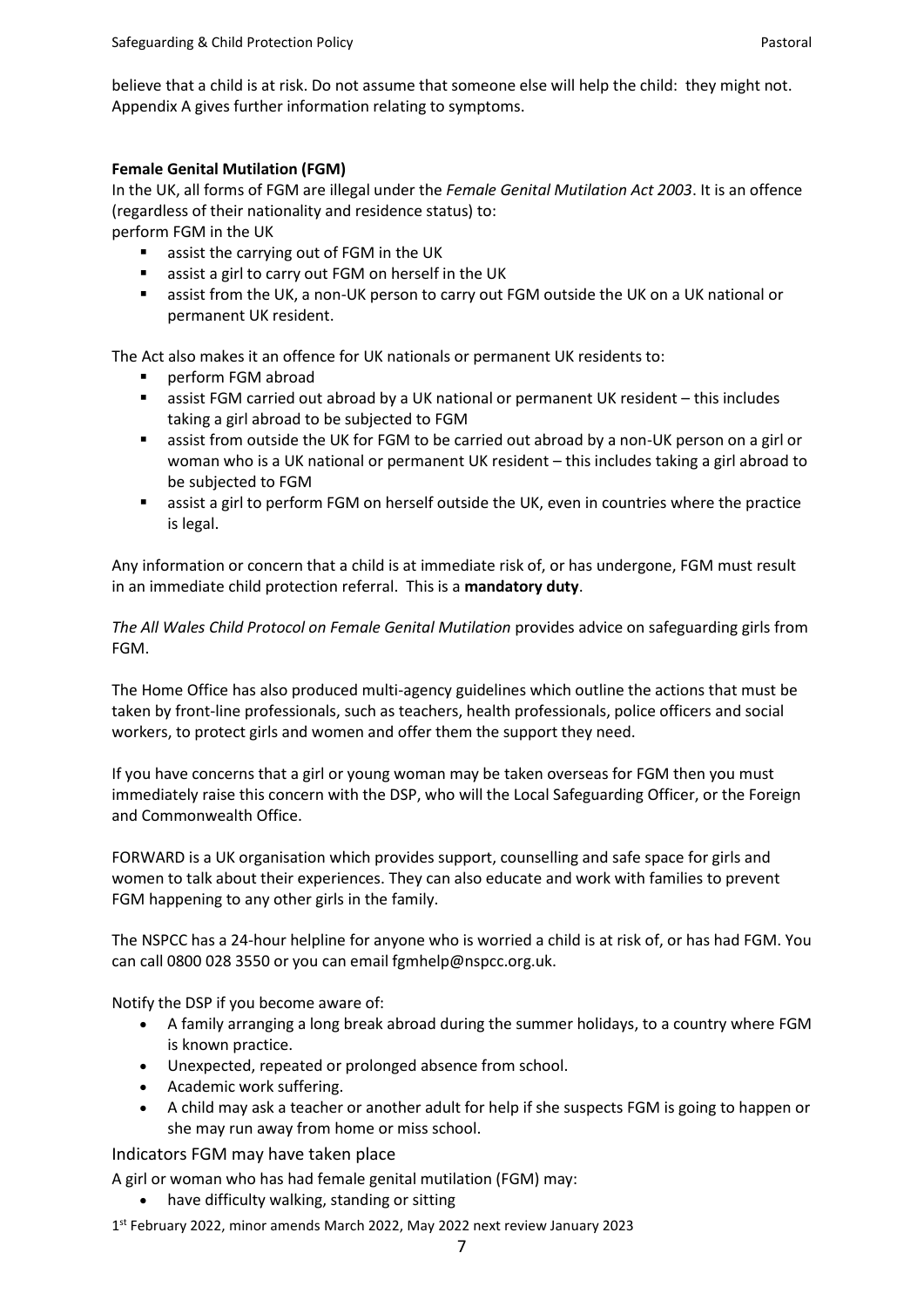believe that a child is at risk. Do not assume that someone else will help the child: they might not. Appendix A gives further information relating to symptoms.

#### **Female Genital Mutilation (FGM)**

In the UK, all forms of FGM are illegal under the *Female Genital Mutilation Act 2003*. It is an offence (regardless of their nationality and residence status) to:

perform FGM in the UK

- assist the carrying out of FGM in the UK
- assist a girl to carry out FGM on herself in the UK
- assist from the UK, a non-UK person to carry out FGM outside the UK on a UK national or permanent UK resident.

The Act also makes it an offence for UK nationals or permanent UK residents to:

- perform FGM abroad
- assist FGM carried out abroad by a UK national or permanent UK resident this includes taking a girl abroad to be subjected to FGM
- assist from outside the UK for FGM to be carried out abroad by a non-UK person on a girl or woman who is a UK national or permanent UK resident – this includes taking a girl abroad to be subjected to FGM
- assist a girl to perform FGM on herself outside the UK, even in countries where the practice is legal.

Any information or concern that a child is at immediate risk of, or has undergone, FGM must result in an immediate child protection referral. This is a **mandatory duty**.

*The All Wales Child Protocol on Female Genital Mutilation* provides advice on safeguarding girls from FGM.

The Home Office has also produced multi-agency guidelines which outline the actions that must be taken by front-line professionals, such as teachers, health professionals, police officers and social workers, to protect girls and women and offer them the support they need.

If you have concerns that a girl or young woman may be taken overseas for FGM then you must immediately raise this concern with the DSP, who will the Local Safeguarding Officer, or the Foreign and Commonwealth Office.

FORWARD is a UK organisation which provides support, counselling and safe space for girls and women to talk about their experiences. They can also educate and work with families to prevent FGM happening to any other girls in the family.

The NSPCC has a 24-hour helpline for anyone who is worried a child is at risk of, or has had FGM. You can call 0800 028 3550 or you can email fgmhelp@nspcc.org.uk.

Notify the DSP if you become aware of:

- A family arranging a long break abroad during the summer holidays, to a country where FGM is known practice.
- Unexpected, repeated or prolonged absence from school.
- Academic work suffering.
- A child may ask a teacher or another adult for help if she suspects FGM is going to happen or she may run away from home or miss school.

Indicators FGM may have taken place

A girl or woman who has had female genital mutilation (FGM) may:

• have difficulty walking, standing or sitting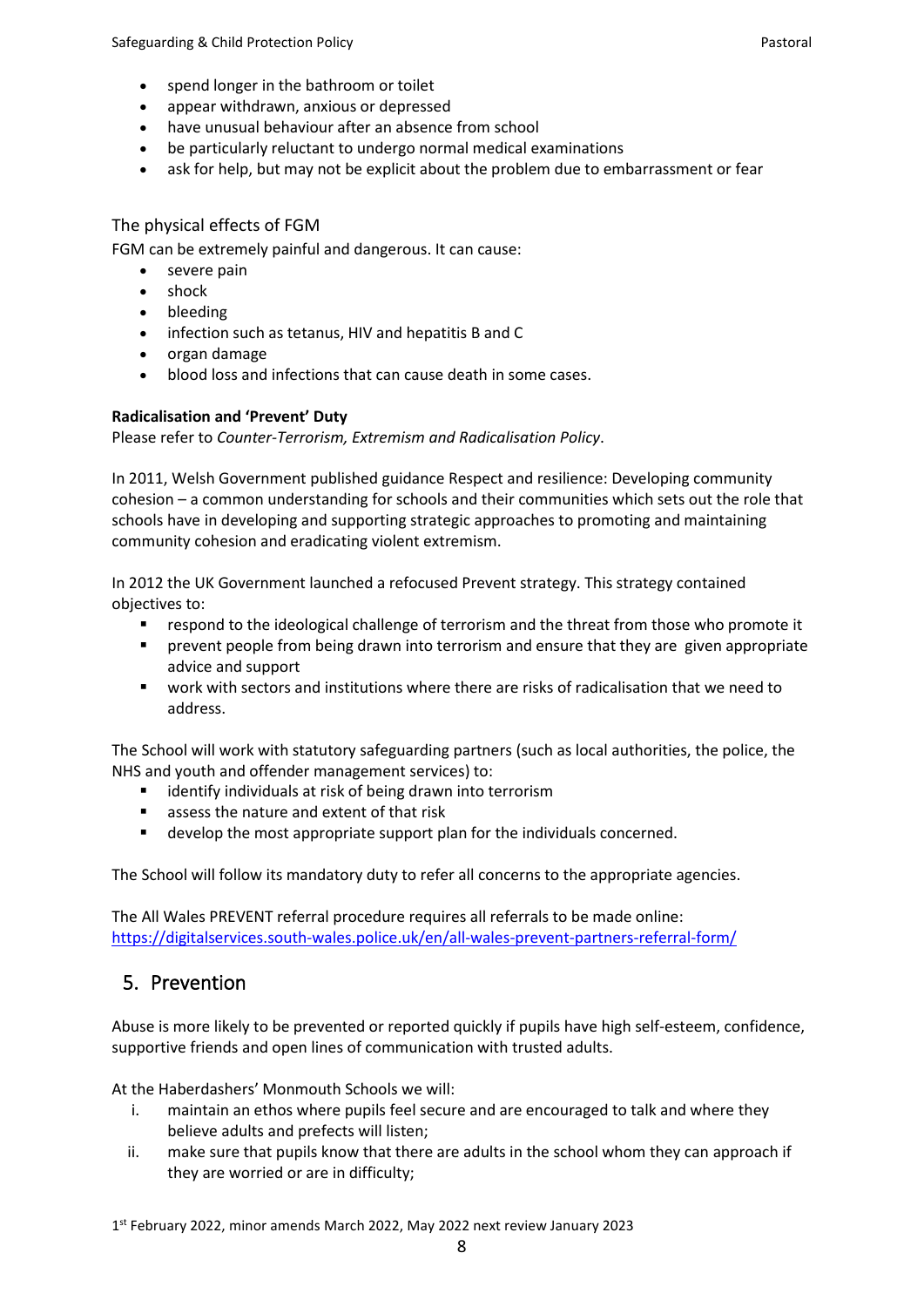- spend longer in the bathroom or toilet
- appear withdrawn, anxious or depressed
- have unusual behaviour after an absence from school
- be particularly reluctant to undergo normal medical examinations
- ask for help, but may not be explicit about the problem due to embarrassment or fear

### The physical effects of FGM

FGM can be extremely painful and dangerous. It can cause:

- severe pain
- shock
- bleeding
- infection such as tetanus, HIV and hepatitis B and C
- organ damage
- blood loss and infections that can cause death in some cases.

#### **Radicalisation and 'Prevent' Duty**

Please refer to *Counter-Terrorism, Extremism and Radicalisation Policy*.

In 2011, Welsh Government published guidance Respect and resilience: Developing community cohesion – a common understanding for schools and their communities which sets out the role that schools have in developing and supporting strategic approaches to promoting and maintaining community cohesion and eradicating violent extremism.

In 2012 the UK Government launched a refocused Prevent strategy. This strategy contained objectives to:

- respond to the ideological challenge of terrorism and the threat from those who promote it
- prevent people from being drawn into terrorism and ensure that they are given appropriate advice and support
- work with sectors and institutions where there are risks of radicalisation that we need to address.

The School will work with statutory safeguarding partners (such as local authorities, the police, the NHS and youth and offender management services) to:

- identify individuals at risk of being drawn into terrorism
- assess the nature and extent of that risk
- develop the most appropriate support plan for the individuals concerned.

The School will follow its mandatory duty to refer all concerns to the appropriate agencies.

The All Wales PREVENT referral procedure requires all referrals to be made online: <https://digitalservices.south-wales.police.uk/en/all-wales-prevent-partners-referral-form/>

# 5. Prevention

Abuse is more likely to be prevented or reported quickly if pupils have high self-esteem, confidence, supportive friends and open lines of communication with trusted adults.

At the Haberdashers' Monmouth Schools we will:

- i. maintain an ethos where pupils feel secure and are encouraged to talk and where they believe adults and prefects will listen;
- ii. make sure that pupils know that there are adults in the school whom they can approach if they are worried or are in difficulty;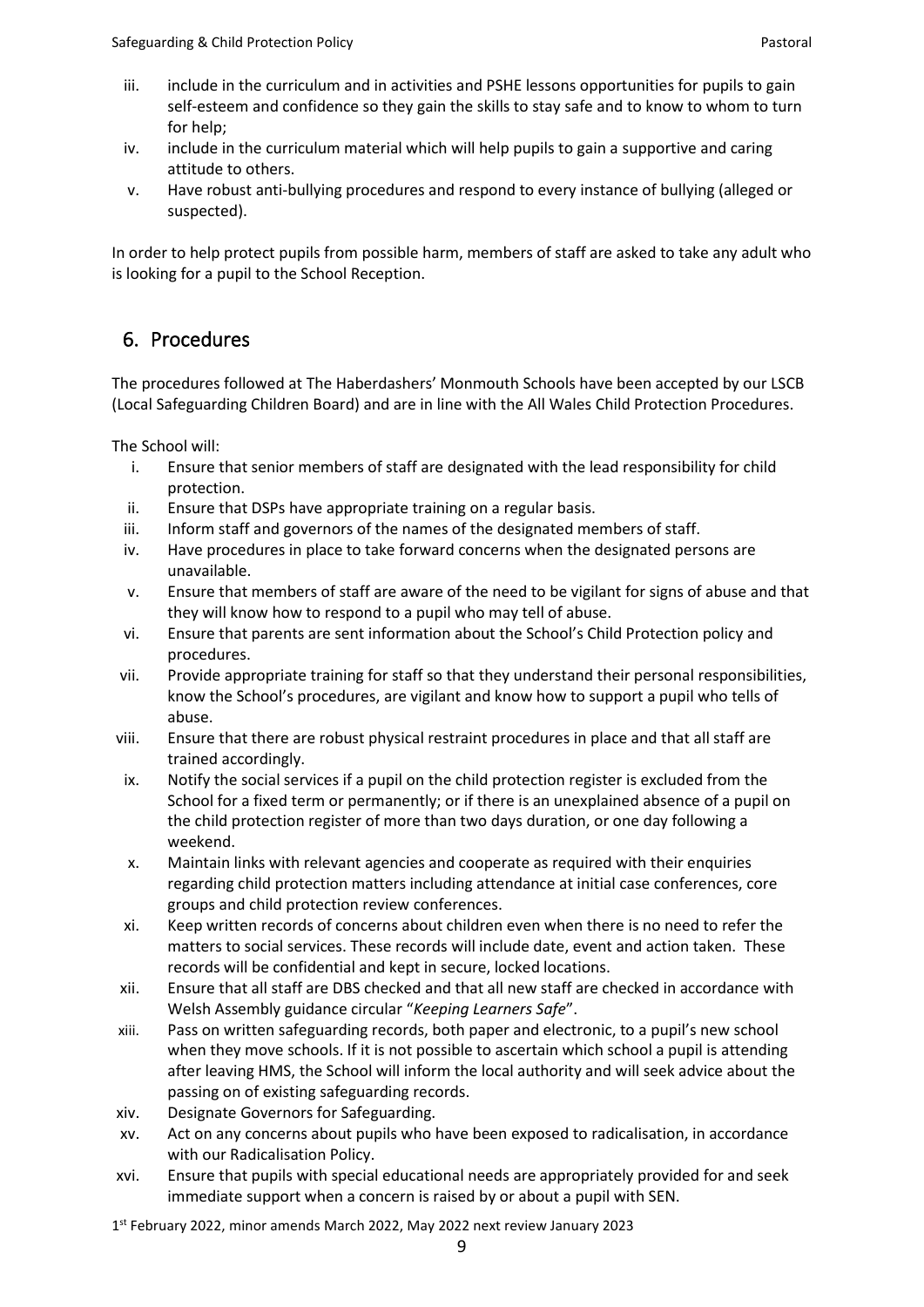- iii. include in the curriculum and in activities and PSHE lessons opportunities for pupils to gain self-esteem and confidence so they gain the skills to stay safe and to know to whom to turn for help;
- iv. include in the curriculum material which will help pupils to gain a supportive and caring attitude to others.
- v. Have robust anti-bullying procedures and respond to every instance of bullying (alleged or suspected).

In order to help protect pupils from possible harm, members of staff are asked to take any adult who is looking for a pupil to the School Reception.

# 6. Procedures

The procedures followed at The Haberdashers' Monmouth Schools have been accepted by our LSCB (Local Safeguarding Children Board) and are in line with the All Wales Child Protection Procedures.

The School will:

- i. Ensure that senior members of staff are designated with the lead responsibility for child protection.
- ii. Ensure that DSPs have appropriate training on a regular basis.
- iii. Inform staff and governors of the names of the designated members of staff.
- iv. Have procedures in place to take forward concerns when the designated persons are unavailable.
- v. Ensure that members of staff are aware of the need to be vigilant for signs of abuse and that they will know how to respond to a pupil who may tell of abuse.
- vi. Ensure that parents are sent information about the School's Child Protection policy and procedures.
- vii. Provide appropriate training for staff so that they understand their personal responsibilities, know the School's procedures, are vigilant and know how to support a pupil who tells of abuse.
- viii. Ensure that there are robust physical restraint procedures in place and that all staff are trained accordingly.
- ix. Notify the social services if a pupil on the child protection register is excluded from the School for a fixed term or permanently; or if there is an unexplained absence of a pupil on the child protection register of more than two days duration, or one day following a weekend.
- x. Maintain links with relevant agencies and cooperate as required with their enquiries regarding child protection matters including attendance at initial case conferences, core groups and child protection review conferences.
- xi. Keep written records of concerns about children even when there is no need to refer the matters to social services. These records will include date, event and action taken. These records will be confidential and kept in secure, locked locations.
- xii. Ensure that all staff are DBS checked and that all new staff are checked in accordance with Welsh Assembly guidance circular "*Keeping Learners Safe*".
- xiii. Pass on written safeguarding records, both paper and electronic, to a pupil's new school when they move schools. If it is not possible to ascertain which school a pupil is attending after leaving HMS, the School will inform the local authority and will seek advice about the passing on of existing safeguarding records.
- xiv. Designate Governors for Safeguarding.
- xv. Act on any concerns about pupils who have been exposed to radicalisation, in accordance with our Radicalisation Policy.
- xvi. Ensure that pupils with special educational needs are appropriately provided for and seek immediate support when a concern is raised by or about a pupil with SEN.
- 1st February 2022, minor amends March 2022, May 2022 next review January 2023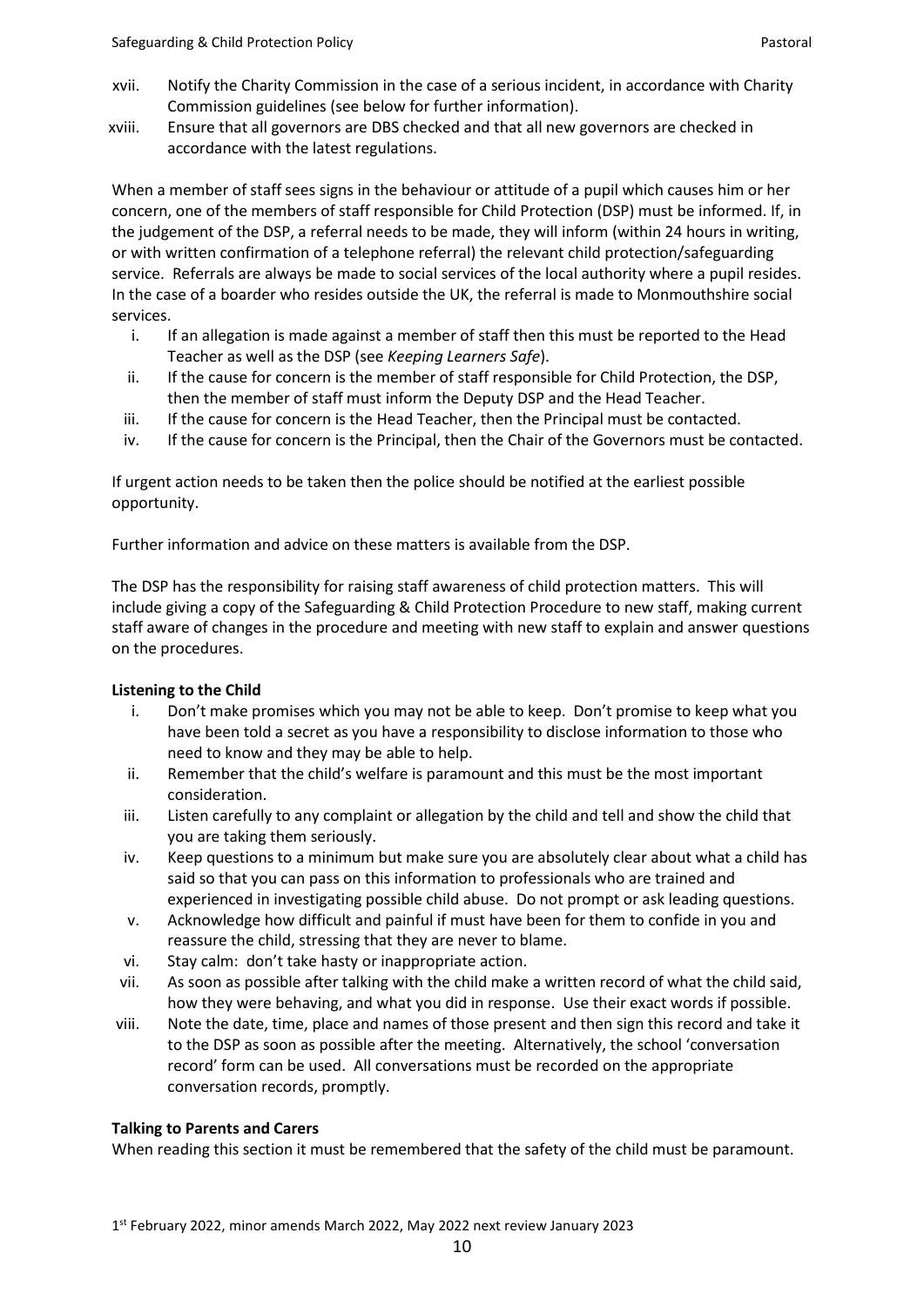- xvii. Notify the Charity Commission in the case of a serious incident, in accordance with Charity Commission guidelines (see below for further information).
- xviii. Ensure that all governors are DBS checked and that all new governors are checked in accordance with the latest regulations.

When a member of staff sees signs in the behaviour or attitude of a pupil which causes him or her concern, one of the members of staff responsible for Child Protection (DSP) must be informed. If, in the judgement of the DSP, a referral needs to be made, they will inform (within 24 hours in writing, or with written confirmation of a telephone referral) the relevant child protection/safeguarding service. Referrals are always be made to social services of the local authority where a pupil resides. In the case of a boarder who resides outside the UK, the referral is made to Monmouthshire social services.

- i. If an allegation is made against a member of staff then this must be reported to the Head Teacher as well as the DSP (see *Keeping Learners Safe*).
- ii. If the cause for concern is the member of staff responsible for Child Protection, the DSP, then the member of staff must inform the Deputy DSP and the Head Teacher.
- iii. If the cause for concern is the Head Teacher, then the Principal must be contacted.
- iv. If the cause for concern is the Principal, then the Chair of the Governors must be contacted.

If urgent action needs to be taken then the police should be notified at the earliest possible opportunity.

Further information and advice on these matters is available from the DSP.

The DSP has the responsibility for raising staff awareness of child protection matters. This will include giving a copy of the Safeguarding & Child Protection Procedure to new staff, making current staff aware of changes in the procedure and meeting with new staff to explain and answer questions on the procedures.

## **Listening to the Child**

- i. Don't make promises which you may not be able to keep. Don't promise to keep what you have been told a secret as you have a responsibility to disclose information to those who need to know and they may be able to help.
- ii. Remember that the child's welfare is paramount and this must be the most important consideration.
- iii. Listen carefully to any complaint or allegation by the child and tell and show the child that you are taking them seriously.
- iv. Keep questions to a minimum but make sure you are absolutely clear about what a child has said so that you can pass on this information to professionals who are trained and experienced in investigating possible child abuse. Do not prompt or ask leading questions.
- v. Acknowledge how difficult and painful if must have been for them to confide in you and reassure the child, stressing that they are never to blame.
- vi. Stay calm: don't take hasty or inappropriate action.
- vii. As soon as possible after talking with the child make a written record of what the child said, how they were behaving, and what you did in response. Use their exact words if possible.
- viii. Note the date, time, place and names of those present and then sign this record and take it to the DSP as soon as possible after the meeting. Alternatively, the school 'conversation record' form can be used. All conversations must be recorded on the appropriate conversation records, promptly.

## **Talking to Parents and Carers**

When reading this section it must be remembered that the safety of the child must be paramount.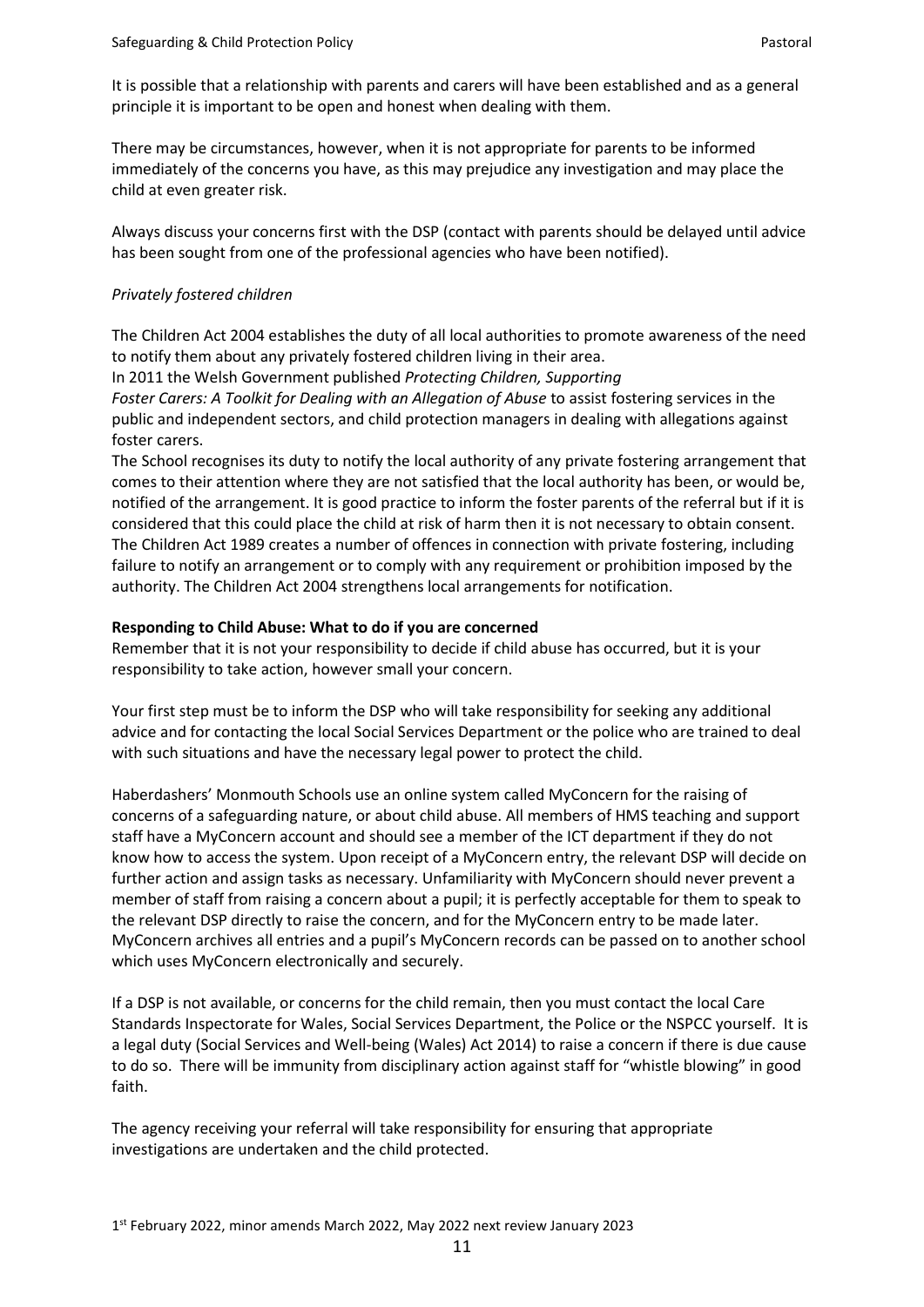It is possible that a relationship with parents and carers will have been established and as a general principle it is important to be open and honest when dealing with them.

There may be circumstances, however, when it is not appropriate for parents to be informed immediately of the concerns you have, as this may prejudice any investigation and may place the child at even greater risk.

Always discuss your concerns first with the DSP (contact with parents should be delayed until advice has been sought from one of the professional agencies who have been notified).

#### *Privately fostered children*

The Children Act 2004 establishes the duty of all local authorities to promote awareness of the need to notify them about any privately fostered children living in their area.

In 2011 the Welsh Government published *Protecting Children, Supporting*

*Foster Carers: A Toolkit for Dealing with an Allegation of Abuse* to assist fostering services in the public and independent sectors, and child protection managers in dealing with allegations against foster carers.

The School recognises its duty to notify the local authority of any private fostering arrangement that comes to their attention where they are not satisfied that the local authority has been, or would be, notified of the arrangement. It is good practice to inform the foster parents of the referral but if it is considered that this could place the child at risk of harm then it is not necessary to obtain consent. The Children Act 1989 creates a number of offences in connection with private fostering, including failure to notify an arrangement or to comply with any requirement or prohibition imposed by the authority. The Children Act 2004 strengthens local arrangements for notification.

#### **Responding to Child Abuse: What to do if you are concerned**

Remember that it is not your responsibility to decide if child abuse has occurred, but it is your responsibility to take action, however small your concern.

Your first step must be to inform the DSP who will take responsibility for seeking any additional advice and for contacting the local Social Services Department or the police who are trained to deal with such situations and have the necessary legal power to protect the child.

Haberdashers' Monmouth Schools use an online system called MyConcern for the raising of concerns of a safeguarding nature, or about child abuse. All members of HMS teaching and support staff have a MyConcern account and should see a member of the ICT department if they do not know how to access the system. Upon receipt of a MyConcern entry, the relevant DSP will decide on further action and assign tasks as necessary. Unfamiliarity with MyConcern should never prevent a member of staff from raising a concern about a pupil; it is perfectly acceptable for them to speak to the relevant DSP directly to raise the concern, and for the MyConcern entry to be made later. MyConcern archives all entries and a pupil's MyConcern records can be passed on to another school which uses MyConcern electronically and securely.

If a DSP is not available, or concerns for the child remain, then you must contact the local Care Standards Inspectorate for Wales, Social Services Department, the Police or the NSPCC yourself. It is a legal duty (Social Services and Well-being (Wales) Act 2014) to raise a concern if there is due cause to do so. There will be immunity from disciplinary action against staff for "whistle blowing" in good faith.

The agency receiving your referral will take responsibility for ensuring that appropriate investigations are undertaken and the child protected.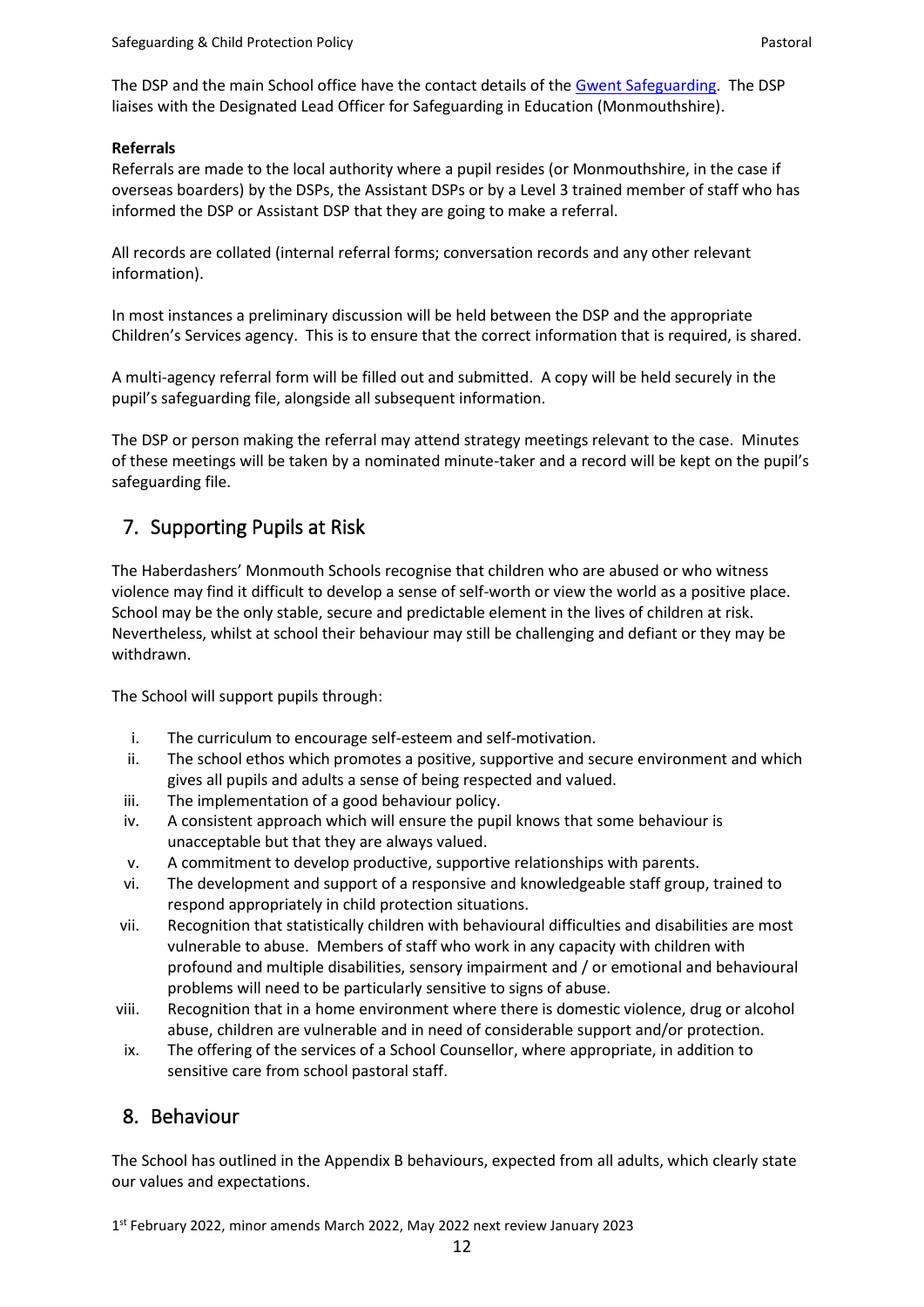The DSP and the main School office have the contact details of the [Gwent](http://www.sewsc.org.uk/) Safeguarding. The DSP liaises with the Designated Lead Officer for Safeguarding in Education (Monmouthshire).

#### **Referrals**

Referrals are made to the local authority where a pupil resides (or Monmouthshire, in the case if overseas boarders) by the DSPs, the Assistant DSPs or by a Level 3 trained member of staff who has informed the DSP or Assistant DSP that they are going to make a referral.

All records are collated (internal referral forms; conversation records and any other relevant information).

In most instances a preliminary discussion will be held between the DSP and the appropriate Children's Services agency. This is to ensure that the correct information that is required, is shared.

A multi-agency referral form will be filled out and submitted. A copy will be held securely in the pupil's safeguarding file, alongside all subsequent information.

The DSP or person making the referral may attend strategy meetings relevant to the case. Minutes of these meetings will be taken by a nominated minute-taker and a record will be kept on the pupil's safeguarding file.

# 7. Supporting Pupils at Risk

The Haberdashers' Monmouth Schools recognise that children who are abused or who witness violence may find it difficult to develop a sense of self-worth or view the world as a positive place. School may be the only stable, secure and predictable element in the lives of children at risk. Nevertheless, whilst at school their behaviour may still be challenging and defiant or they may be withdrawn.

The School will support pupils through:

- i. The curriculum to encourage self-esteem and self-motivation.
- ii. The school ethos which promotes a positive, supportive and secure environment and which gives all pupils and adults a sense of being respected and valued.
- iii. The implementation of a good behaviour policy.
- iv. A consistent approach which will ensure the pupil knows that some behaviour is unacceptable but that they are always valued.
- v. A commitment to develop productive, supportive relationships with parents.
- vi. The development and support of a responsive and knowledgeable staff group, trained to respond appropriately in child protection situations.
- vii. Recognition that statistically children with behavioural difficulties and disabilities are most vulnerable to abuse. Members of staff who work in any capacity with children with profound and multiple disabilities, sensory impairment and / or emotional and behavioural problems will need to be particularly sensitive to signs of abuse.
- viii. Recognition that in a home environment where there is domestic violence, drug or alcohol abuse, children are vulnerable and in need of considerable support and/or protection.
- ix. The offering of the services of a School Counsellor, where appropriate, in addition to sensitive care from school pastoral staff.

# 8. Behaviour

The School has outlined in the Appendix B behaviours, expected from all adults, which clearly state our values and expectations.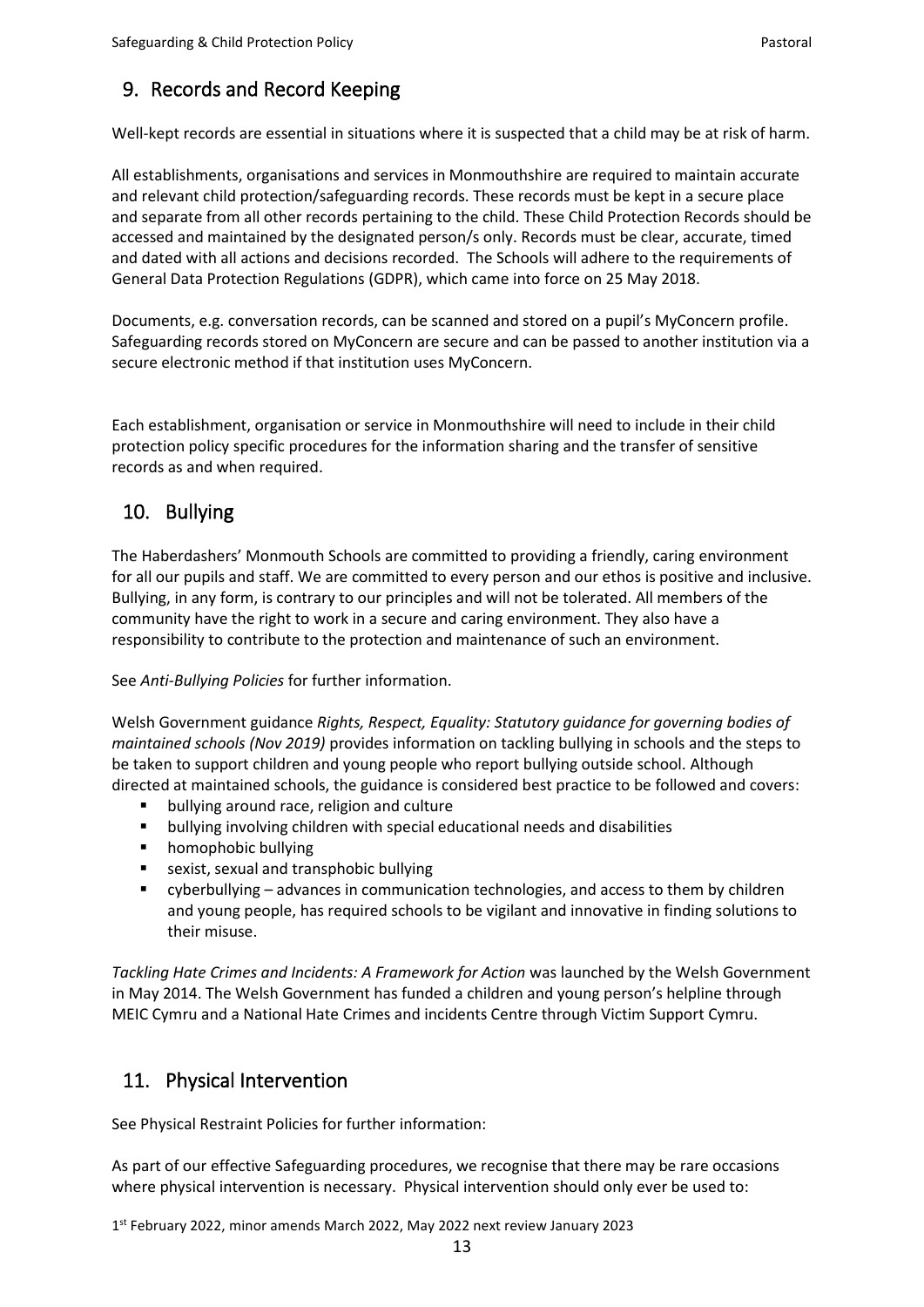# 9. Records and Record Keeping

Well-kept records are essential in situations where it is suspected that a child may be at risk of harm.

All establishments, organisations and services in Monmouthshire are required to maintain accurate and relevant child protection/safeguarding records. These records must be kept in a secure place and separate from all other records pertaining to the child. These Child Protection Records should be accessed and maintained by the designated person/s only. Records must be clear, accurate, timed and dated with all actions and decisions recorded. The Schools will adhere to the requirements of General Data Protection Regulations (GDPR), which came into force on 25 May 2018.

Documents, e.g. conversation records, can be scanned and stored on a pupil's MyConcern profile. Safeguarding records stored on MyConcern are secure and can be passed to another institution via a secure electronic method if that institution uses MyConcern.

Each establishment, organisation or service in Monmouthshire will need to include in their child protection policy specific procedures for the information sharing and the transfer of sensitive records as and when required.

# 10. Bullying

The Haberdashers' Monmouth Schools are committed to providing a friendly, caring environment for all our pupils and staff. We are committed to every person and our ethos is positive and inclusive. Bullying, in any form, is contrary to our principles and will not be tolerated. All members of the community have the right to work in a secure and caring environment. They also have a responsibility to contribute to the protection and maintenance of such an environment.

See *Anti-Bullying Policies* for further information.

Welsh Government guidance *Rights, Respect, Equality: Statutory guidance for governing bodies of maintained schools (Nov 2019)* provides information on tackling bullying in schools and the steps to be taken to support children and young people who report bullying outside school. Although directed at maintained schools, the guidance is considered best practice to be followed and covers:

- bullying around race, religion and culture
- bullying involving children with special educational needs and disabilities
- homophobic bullying
- sexist, sexual and transphobic bullying
- cyberbullying advances in communication technologies, and access to them by children and young people, has required schools to be vigilant and innovative in finding solutions to their misuse.

*Tackling Hate Crimes and Incidents: A Framework for Action* was launched by the Welsh Government in May 2014. The Welsh Government has funded a children and young person's helpline through MEIC Cymru and a National Hate Crimes and incidents Centre through Victim Support Cymru.

# 11. Physical Intervention

See Physical Restraint Policies for further information:

As part of our effective Safeguarding procedures, we recognise that there may be rare occasions where physical intervention is necessary. Physical intervention should only ever be used to: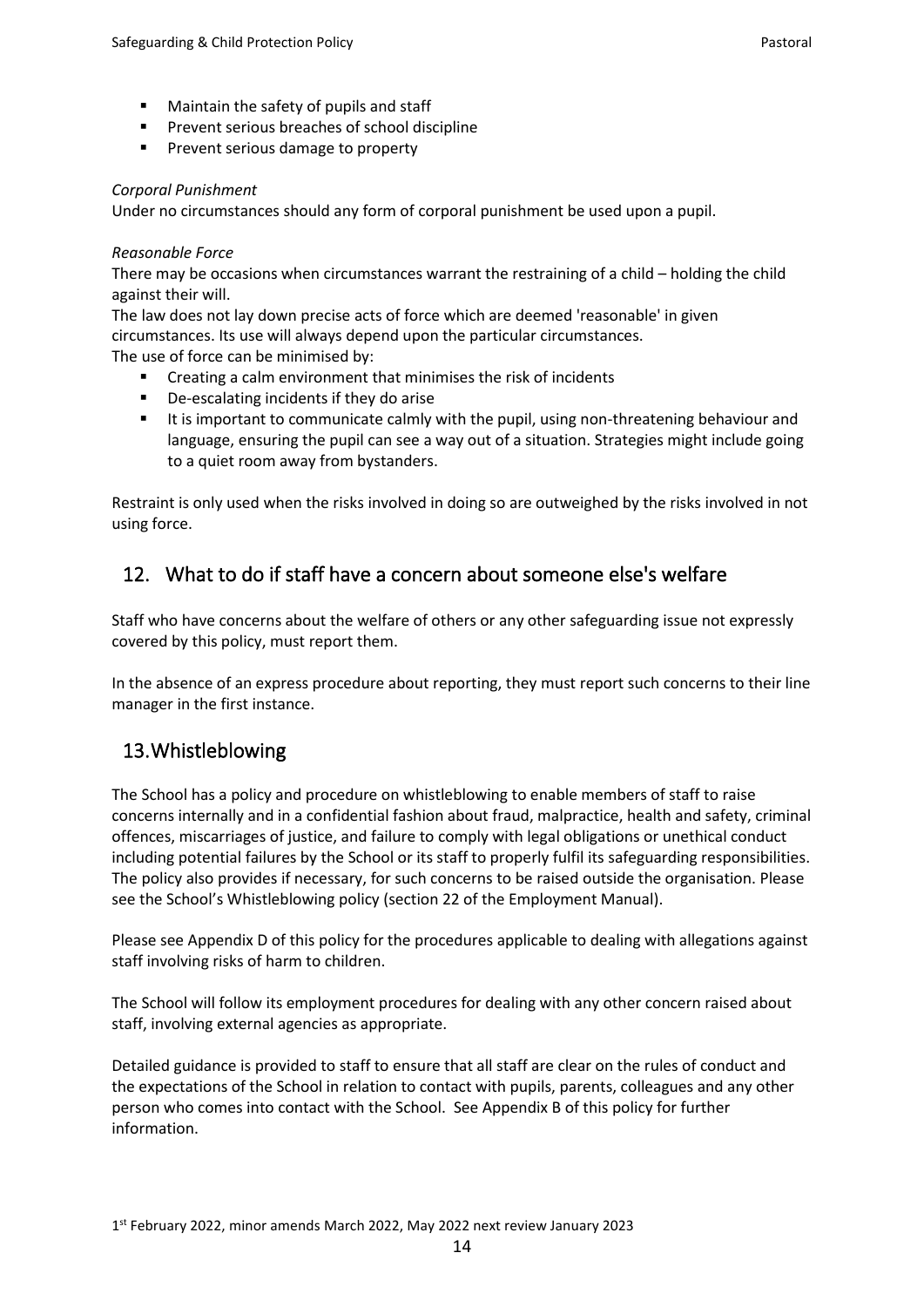- Maintain the safety of pupils and staff
- Prevent serious breaches of school discipline
- Prevent serious damage to property

#### *Corporal Punishment*

Under no circumstances should any form of corporal punishment be used upon a pupil.

#### *Reasonable Force*

There may be occasions when circumstances warrant the restraining of a child – holding the child against their will.

The law does not lay down precise acts of force which are deemed 'reasonable' in given circumstances. Its use will always depend upon the particular circumstances. The use of force can be minimised by:

- Creating a calm environment that minimises the risk of incidents
- De-escalating incidents if they do arise
- It is important to communicate calmly with the pupil, using non-threatening behaviour and language, ensuring the pupil can see a way out of a situation. Strategies might include going to a quiet room away from bystanders.

Restraint is only used when the risks involved in doing so are outweighed by the risks involved in not using force.

# 12. What to do if staff have a concern about someone else's welfare

Staff who have concerns about the welfare of others or any other safeguarding issue not expressly covered by this policy, must report them.

In the absence of an express procedure about reporting, they must report such concerns to their line manager in the first instance.

# 13.Whistleblowing

The School has a policy and procedure on whistleblowing to enable members of staff to raise concerns internally and in a confidential fashion about fraud, malpractice, health and safety, criminal offences, miscarriages of justice, and failure to comply with legal obligations or unethical conduct including potential failures by the School or its staff to properly fulfil its safeguarding responsibilities. The policy also provides if necessary, for such concerns to be raised outside the organisation. Please see the School's Whistleblowing policy (section 22 of the Employment Manual).

Please see Appendix D of this policy for the procedures applicable to dealing with allegations against staff involving risks of harm to children.

The School will follow its employment procedures for dealing with any other concern raised about staff, involving external agencies as appropriate.

Detailed guidance is provided to staff to ensure that all staff are clear on the rules of conduct and the expectations of the School in relation to contact with pupils, parents, colleagues and any other person who comes into contact with the School. See Appendix B of this policy for further information.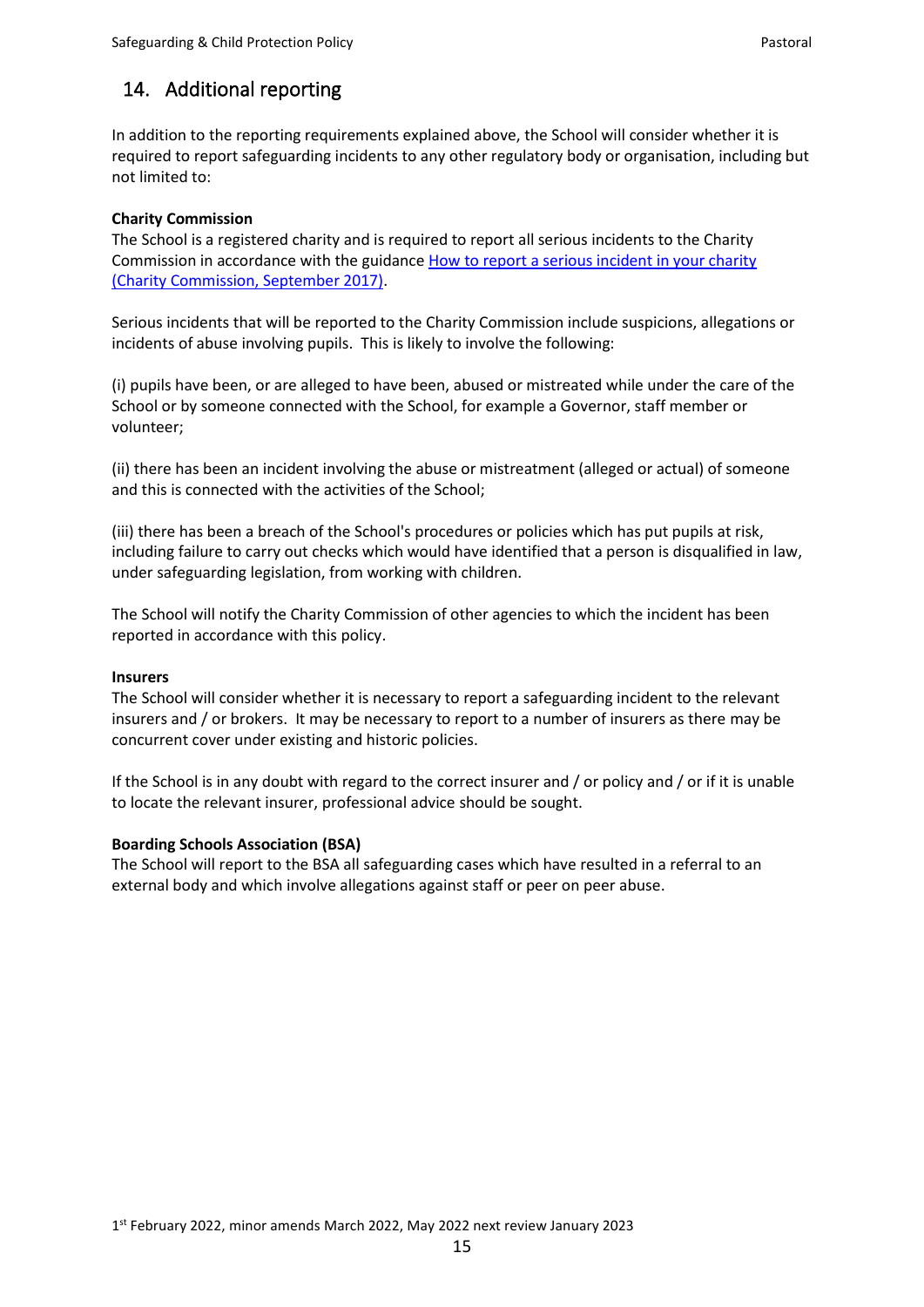# 14. Additional reporting

In addition to the reporting requirements explained above, the School will consider whether it is required to report safeguarding incidents to any other regulatory body or organisation, including but not limited to:

### **Charity Commission**

The School is a registered charity and is required to report all serious incidents to the Charity Commission in accordance with the guidance [How to report a serious incident in your charity](https://www.gov.uk/guidance/how-to-report-a-serious-incident-in-your-charity)  [\(Charity Commission, September 2017\).](https://www.gov.uk/guidance/how-to-report-a-serious-incident-in-your-charity)

Serious incidents that will be reported to the Charity Commission include suspicions, allegations or incidents of abuse involving pupils. This is likely to involve the following:

(i) pupils have been, or are alleged to have been, abused or mistreated while under the care of the School or by someone connected with the School, for example a Governor, staff member or volunteer;

(ii) there has been an incident involving the abuse or mistreatment (alleged or actual) of someone and this is connected with the activities of the School;

(iii) there has been a breach of the School's procedures or policies which has put pupils at risk, including failure to carry out checks which would have identified that a person is disqualified in law, under safeguarding legislation, from working with children.

The School will notify the Charity Commission of other agencies to which the incident has been reported in accordance with this policy.

#### **Insurers**

The School will consider whether it is necessary to report a safeguarding incident to the relevant insurers and / or brokers. It may be necessary to report to a number of insurers as there may be concurrent cover under existing and historic policies.

If the School is in any doubt with regard to the correct insurer and / or policy and / or if it is unable to locate the relevant insurer, professional advice should be sought.

## **Boarding Schools Association (BSA)**

The School will report to the BSA all safeguarding cases which have resulted in a referral to an external body and which involve allegations against staff or peer on peer abuse.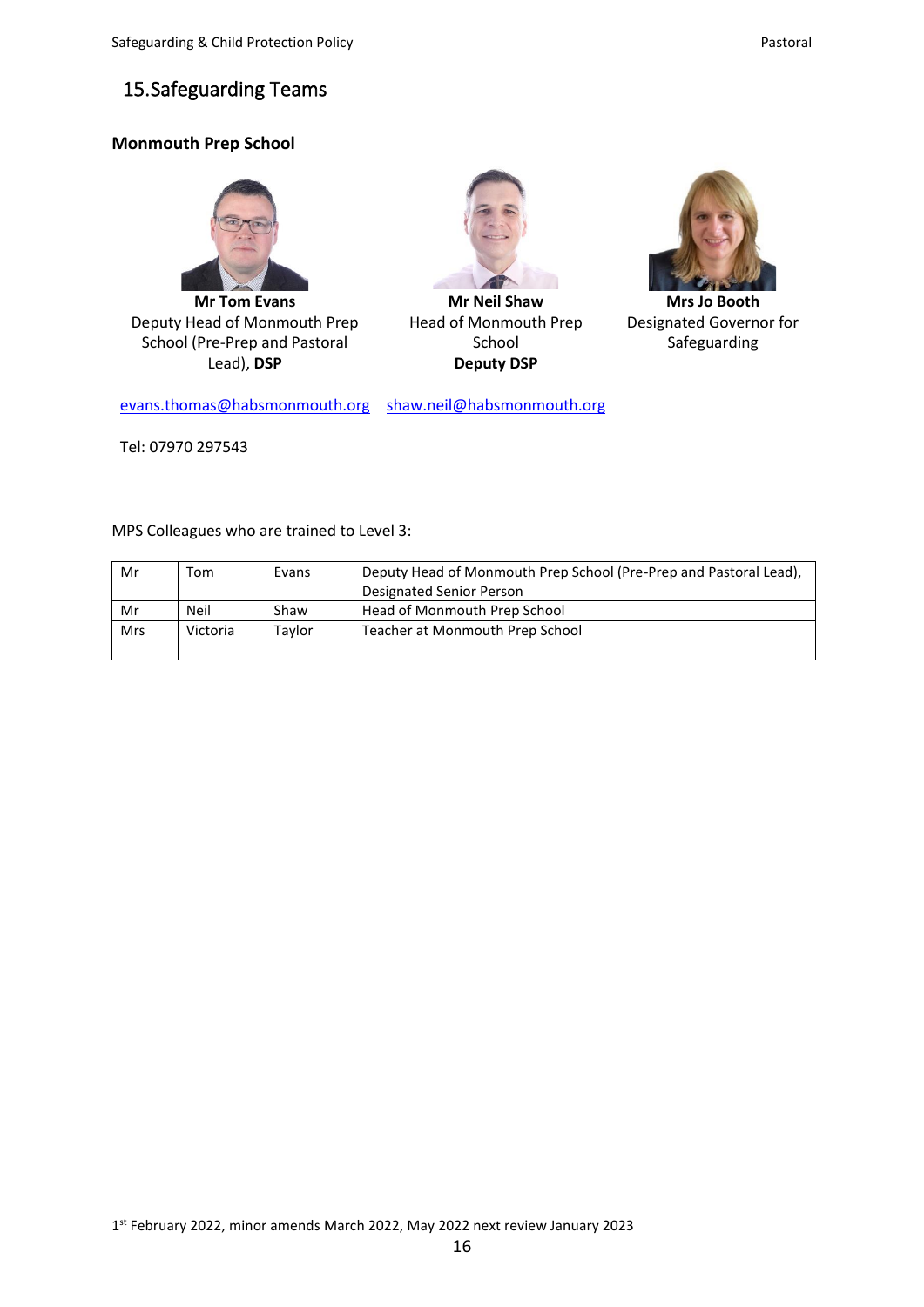# <span id="page-15-0"></span>15.Safeguarding Teams

# **Monmouth Prep School**



**Mr Tom Evans** Deputy Head of Monmouth Prep School (Pre-Prep and Pastoral Lead), **DSP**



**Mr Neil Shaw** Head of Monmouth Prep School **Deputy DSP**



**Mrs Jo Booth** Designated Governor for Safeguarding

[evans.thomas@habsmonmouth.org](mailto:evans.thomas@habsmonmouth.org) [shaw.neil@habsmonmouth.org](mailto:shaw.neil@habsmonmouth.org)

Tel: 07970 297543

MPS Colleagues who are trained to Level 3:

| Mr         | ™om      | Evans  | Deputy Head of Monmouth Prep School (Pre-Prep and Pastoral Lead), |
|------------|----------|--------|-------------------------------------------------------------------|
|            |          |        | Designated Senior Person                                          |
| Mr         | Neil     | Shaw   | Head of Monmouth Prep School                                      |
| <b>Mrs</b> | Victoria | Tavlor | Teacher at Monmouth Prep School                                   |
|            |          |        |                                                                   |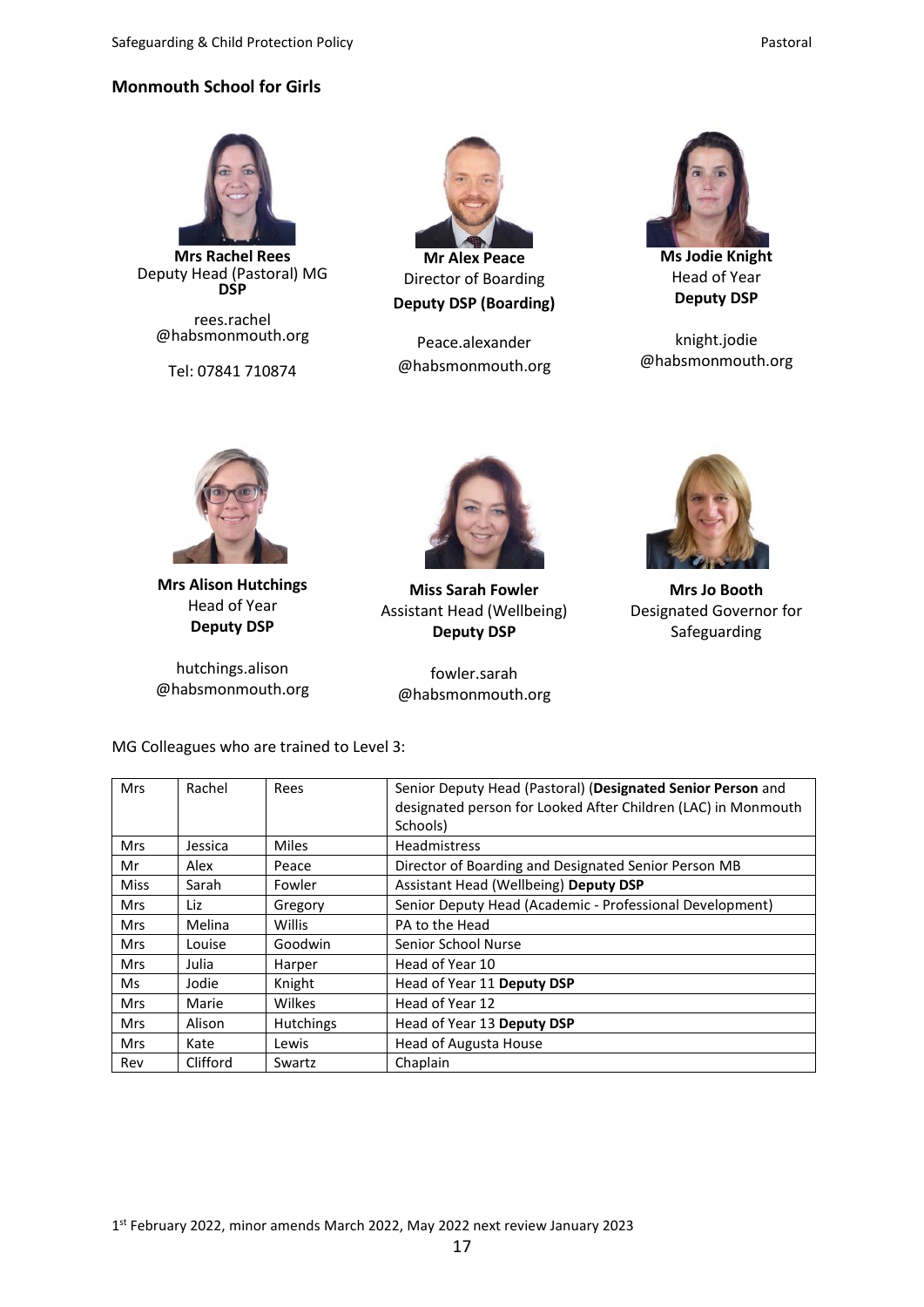## **Monmouth School for Girls**



**Mrs Rachel Rees** Deputy Head (Pastoral) MG **DSP**

rees.rachel @habsmonmouth.org

Tel: 07841 710874



Director of Boarding **Deputy DSP (Boarding)**

Peace.alexander @habsmonmouth.org



**Ms Jodie Knight** Head of Year **Deputy DSP**

knight.jodie @habsmonmouth.org



**Mrs Alison Hutchings** Head of Year **Deputy DSP**

hutchings.alison @habsmonmouth.org



**Miss Sarah Fowler** Assistant Head (Wellbeing) **Deputy DSP**

fowler.sarah @habsmonmouth.org



**Mrs Jo Booth** Designated Governor for Safeguarding

MG Colleagues who are trained to Level 3:

| <b>Mrs</b>  | Rachel   | Rees             | Senior Deputy Head (Pastoral) (Designated Senior Person and<br>designated person for Looked After Children (LAC) in Monmouth<br>Schools) |
|-------------|----------|------------------|------------------------------------------------------------------------------------------------------------------------------------------|
| <b>Mrs</b>  | Jessica  | <b>Miles</b>     | <b>Headmistress</b>                                                                                                                      |
| Mr          | Alex     | Peace            | Director of Boarding and Designated Senior Person MB                                                                                     |
| <b>Miss</b> | Sarah    | Fowler           | Assistant Head (Wellbeing) Deputy DSP                                                                                                    |
| <b>Mrs</b>  | Liz      | Gregory          | Senior Deputy Head (Academic - Professional Development)                                                                                 |
| <b>Mrs</b>  | Melina   | Willis           | PA to the Head                                                                                                                           |
| <b>Mrs</b>  | Louise   | Goodwin          | Senior School Nurse                                                                                                                      |
| <b>Mrs</b>  | Julia    | Harper           | Head of Year 10                                                                                                                          |
| Ms          | Jodie    | Knight           | Head of Year 11 Deputy DSP                                                                                                               |
| <b>Mrs</b>  | Marie    | Wilkes           | Head of Year 12                                                                                                                          |
| <b>Mrs</b>  | Alison   | <b>Hutchings</b> | Head of Year 13 Deputy DSP                                                                                                               |
| <b>Mrs</b>  | Kate     | Lewis            | Head of Augusta House                                                                                                                    |
| Rev         | Clifford | Swartz           | Chaplain                                                                                                                                 |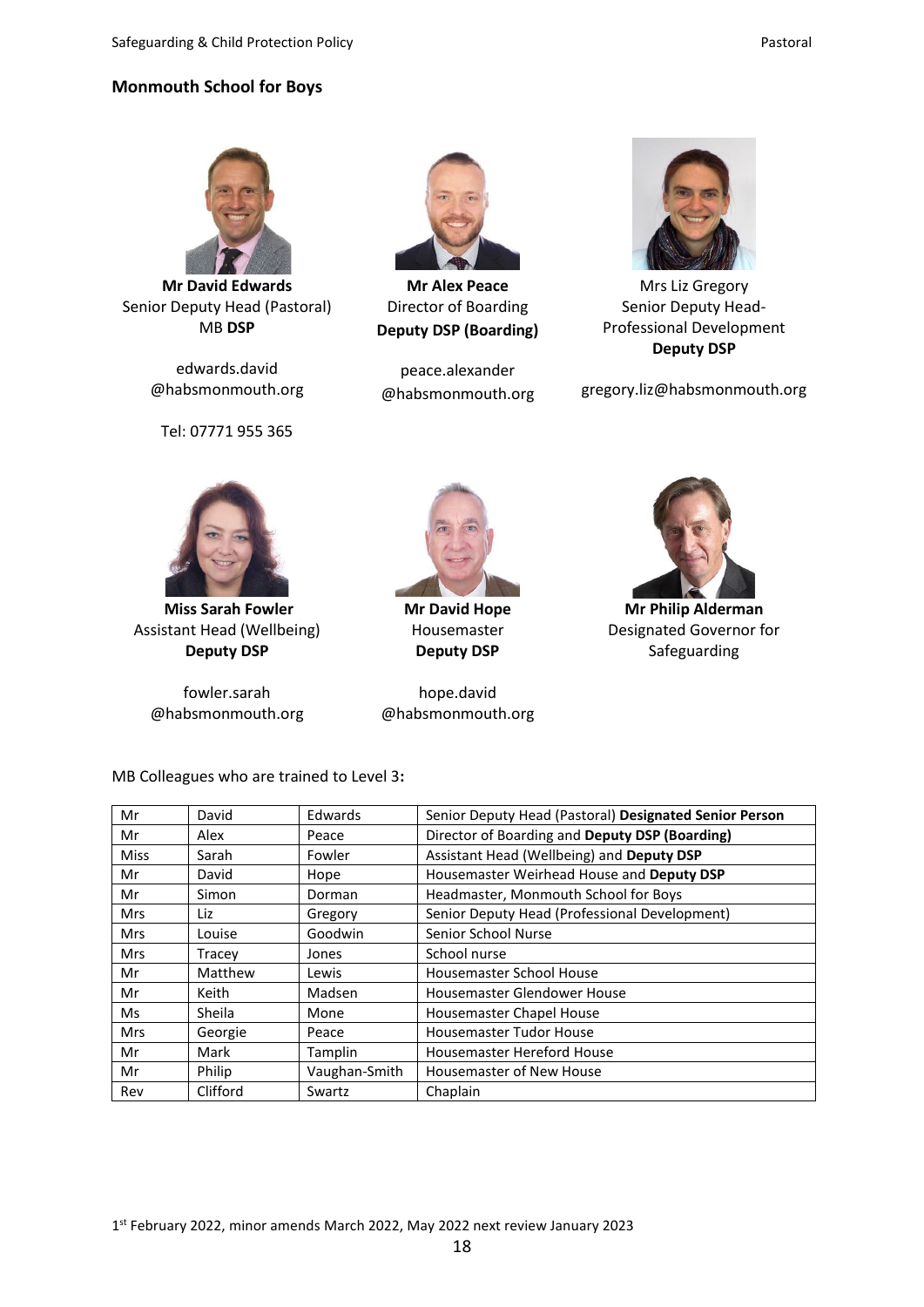#### **Monmouth School for Boys**



**Mr David Edwards** Senior Deputy Head (Pastoral) MB **DSP**

edwards.david @habsmonmouth.org

Tel: 07771 955 365



**Mr Alex Peace** Director of Boarding **Deputy DSP (Boarding)**

peace.alexander @habsmonmouth.org



Mrs Liz Gregory Senior Deputy Head-Professional Development **Deputy DSP**

gregory.liz@habsmonmouth.org



**Miss Sarah Fowler** Assistant Head (Wellbeing) **Deputy DSP**

fowler.sarah @habsmonmouth.org



**Mr David Hope** Housemaster **Deputy DSP**

hope.david @habsmonmouth.org



**Mr Philip Alderman** Designated Governor for Safeguarding

| Mr          | David    | Edwards       | Senior Deputy Head (Pastoral) Designated Senior Person |
|-------------|----------|---------------|--------------------------------------------------------|
| Mr          | Alex     | Peace         | Director of Boarding and Deputy DSP (Boarding)         |
| <b>Miss</b> | Sarah    | Fowler        | Assistant Head (Wellbeing) and Deputy DSP              |
| Mr          | David    | Hope          | Housemaster Weirhead House and Deputy DSP              |
| Mr          | Simon    | Dorman        | Headmaster, Monmouth School for Boys                   |
| <b>Mrs</b>  | Liz      | Gregory       | Senior Deputy Head (Professional Development)          |
| <b>Mrs</b>  | Louise   | Goodwin       | Senior School Nurse                                    |
| <b>Mrs</b>  | Tracey   | Jones         | School nurse                                           |
| Mr          | Matthew  | Lewis         | <b>Housemaster School House</b>                        |
| Mr          | Keith    | Madsen        | Housemaster Glendower House                            |
| Ms          | Sheila   | Mone          | Housemaster Chapel House                               |
| <b>Mrs</b>  | Georgie  | Peace         | <b>Housemaster Tudor House</b>                         |
| Mr          | Mark     | Tamplin       | Housemaster Hereford House                             |
| Mr          | Philip   | Vaughan-Smith | Housemaster of New House                               |
| Rev         | Clifford | Swartz        | Chaplain                                               |

18

MB Colleagues who are trained to Level 3**:**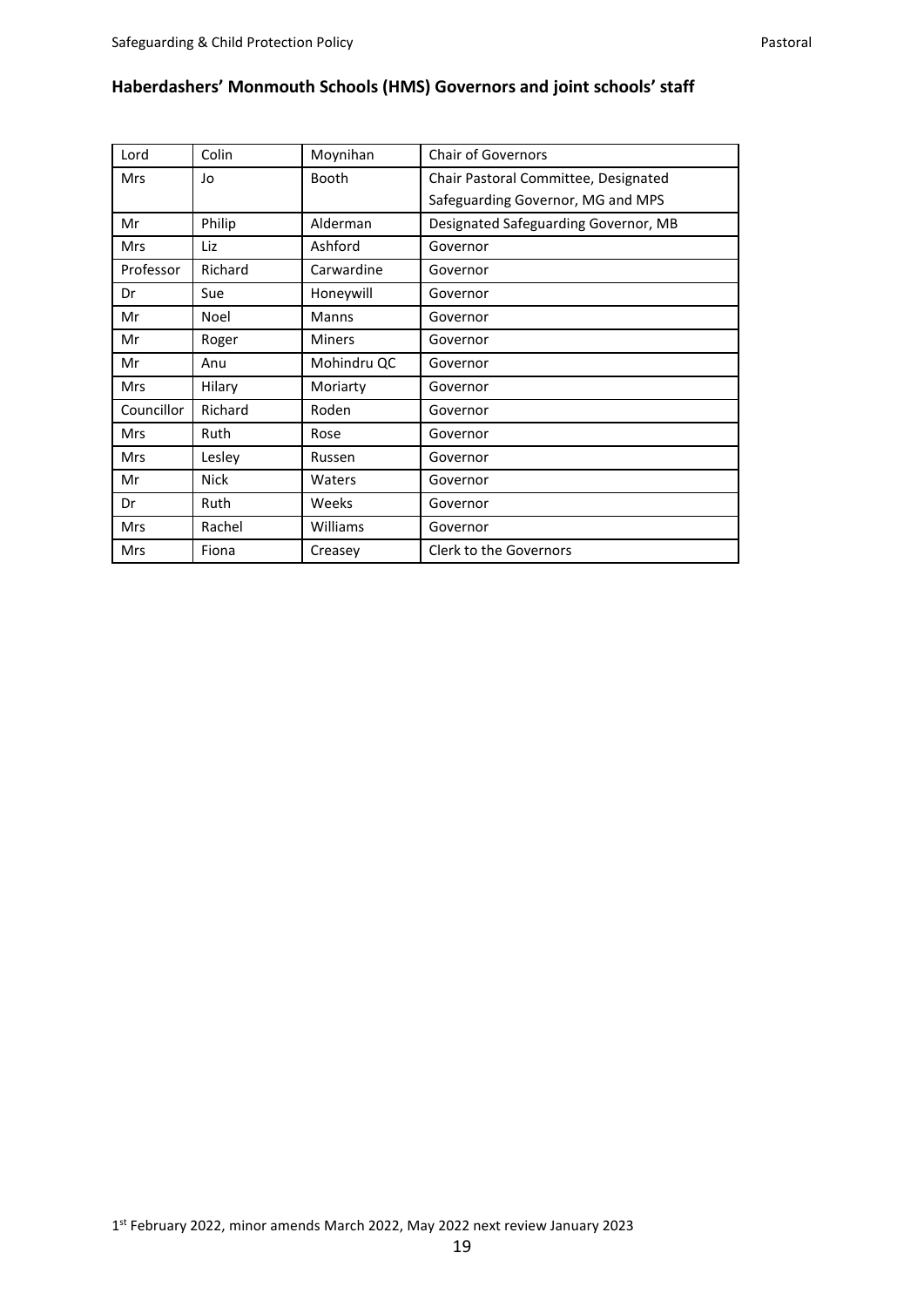| Lord       | Colin       | Moynihan      | <b>Chair of Governors</b>            |
|------------|-------------|---------------|--------------------------------------|
| <b>Mrs</b> | Jo          | <b>Booth</b>  | Chair Pastoral Committee, Designated |
|            |             |               | Safeguarding Governor, MG and MPS    |
| Mr         | Philip      | Alderman      | Designated Safeguarding Governor, MB |
| <b>Mrs</b> | Liz         | Ashford       | Governor                             |
| Professor  | Richard     | Carwardine    | Governor                             |
| Dr         | Sue         | Honeywill     | Governor                             |
| Mr         | Noel        | <b>Manns</b>  | Governor                             |
| Mr         | Roger       | <b>Miners</b> | Governor                             |
| Mr         | Anu         | Mohindru QC   | Governor                             |
| <b>Mrs</b> | Hilary      | Moriarty      | Governor                             |
| Councillor | Richard     | Roden         | Governor                             |
| <b>Mrs</b> | Ruth        | Rose          | Governor                             |
| <b>Mrs</b> | Lesley      | Russen        | Governor                             |
| Mr         | <b>Nick</b> | Waters        | Governor                             |
| Dr         | Ruth        | Weeks         | Governor                             |
| <b>Mrs</b> | Rachel      | Williams      | Governor                             |
| Mrs        | Fiona       | Creasey       | Clerk to the Governors               |

# **Haberdashers' Monmouth Schools (HMS) Governors and joint schools' staff**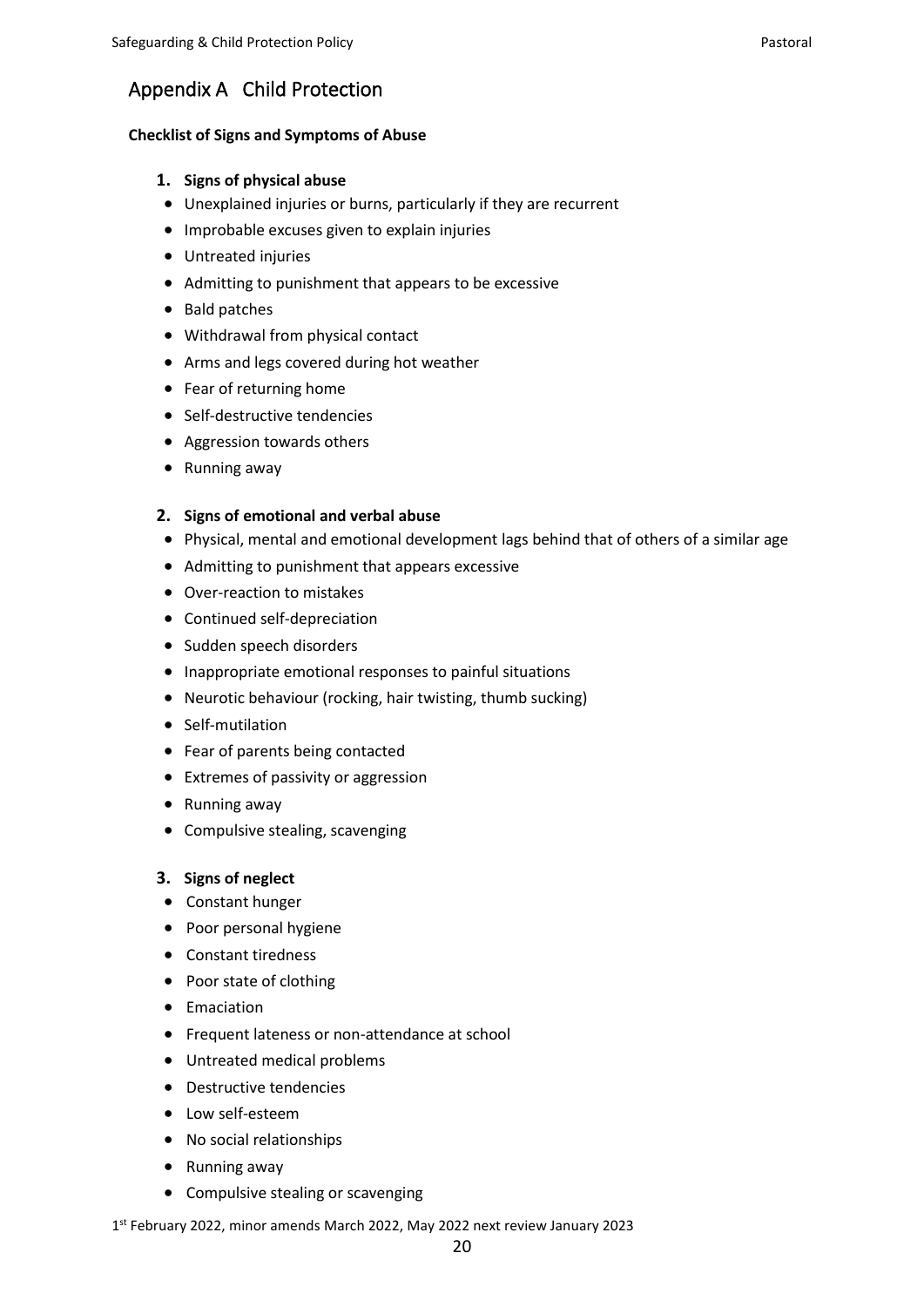# Appendix A Child Protection

#### **Checklist of Signs and Symptoms of Abuse**

#### **1. Signs of physical abuse**

- Unexplained injuries or burns, particularly if they are recurrent
- Improbable excuses given to explain injuries
- Untreated injuries
- Admitting to punishment that appears to be excessive
- Bald patches
- Withdrawal from physical contact
- Arms and legs covered during hot weather
- Fear of returning home
- Self-destructive tendencies
- Aggression towards others
- Running away

#### **2. Signs of emotional and verbal abuse**

- Physical, mental and emotional development lags behind that of others of a similar age
- Admitting to punishment that appears excessive
- Over-reaction to mistakes
- Continued self-depreciation
- Sudden speech disorders
- Inappropriate emotional responses to painful situations
- Neurotic behaviour (rocking, hair twisting, thumb sucking)
- Self-mutilation
- Fear of parents being contacted
- Extremes of passivity or aggression
- Running away
- Compulsive stealing, scavenging

#### **3. Signs of neglect**

- Constant hunger
- Poor personal hygiene
- Constant tiredness
- Poor state of clothing
- Emaciation
- Frequent lateness or non-attendance at school
- Untreated medical problems
- Destructive tendencies
- Low self-esteem
- No social relationships
- Running away
- Compulsive stealing or scavenging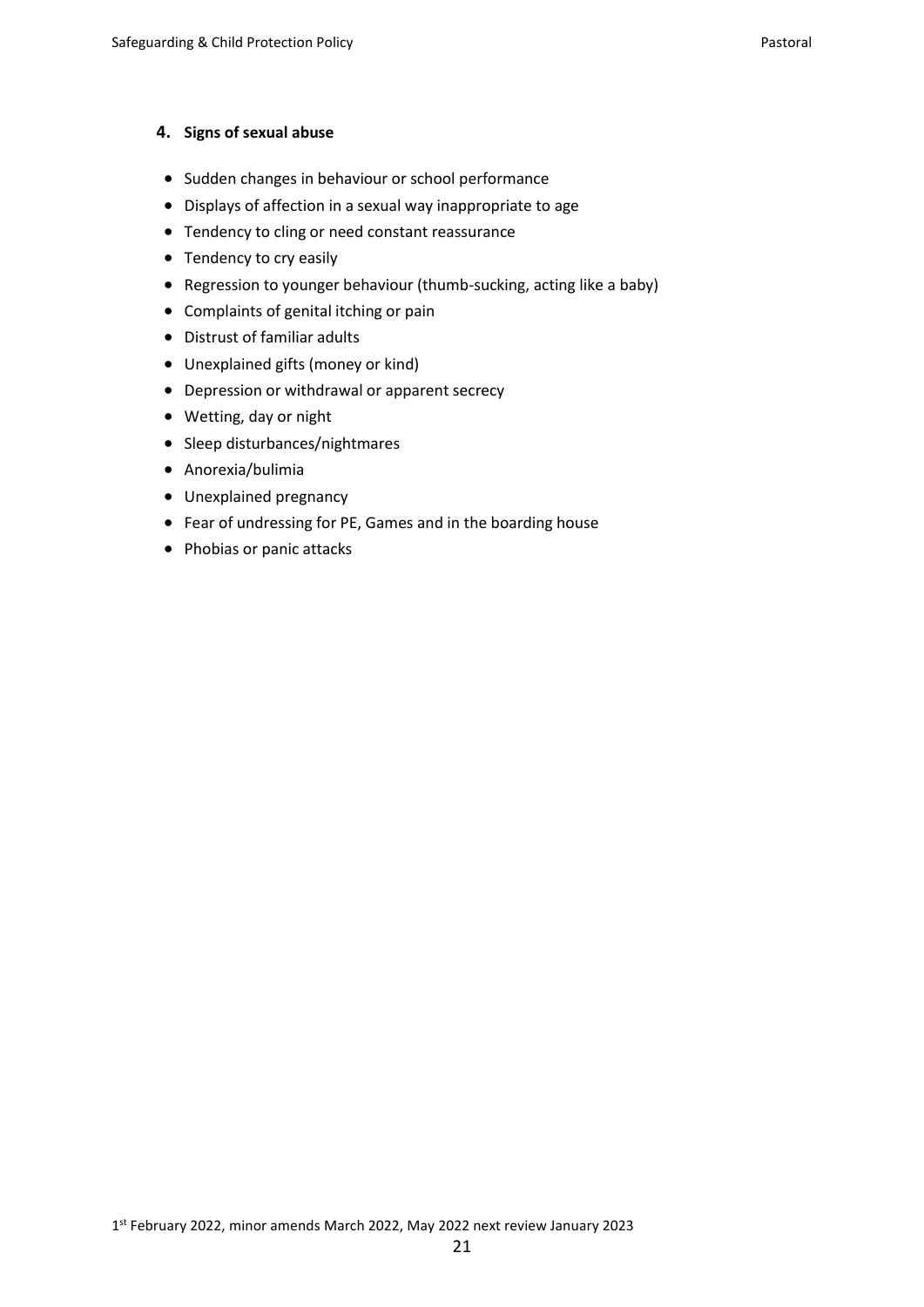#### **4. Signs of sexual abuse**

- Sudden changes in behaviour or school performance
- Displays of affection in a sexual way inappropriate to age
- Tendency to cling or need constant reassurance
- Tendency to cry easily
- Regression to younger behaviour (thumb-sucking, acting like a baby)
- Complaints of genital itching or pain
- Distrust of familiar adults
- Unexplained gifts (money or kind)
- Depression or withdrawal or apparent secrecy
- Wetting, day or night
- Sleep disturbances/nightmares
- Anorexia/bulimia
- Unexplained pregnancy
- Fear of undressing for PE, Games and in the boarding house
- Phobias or panic attacks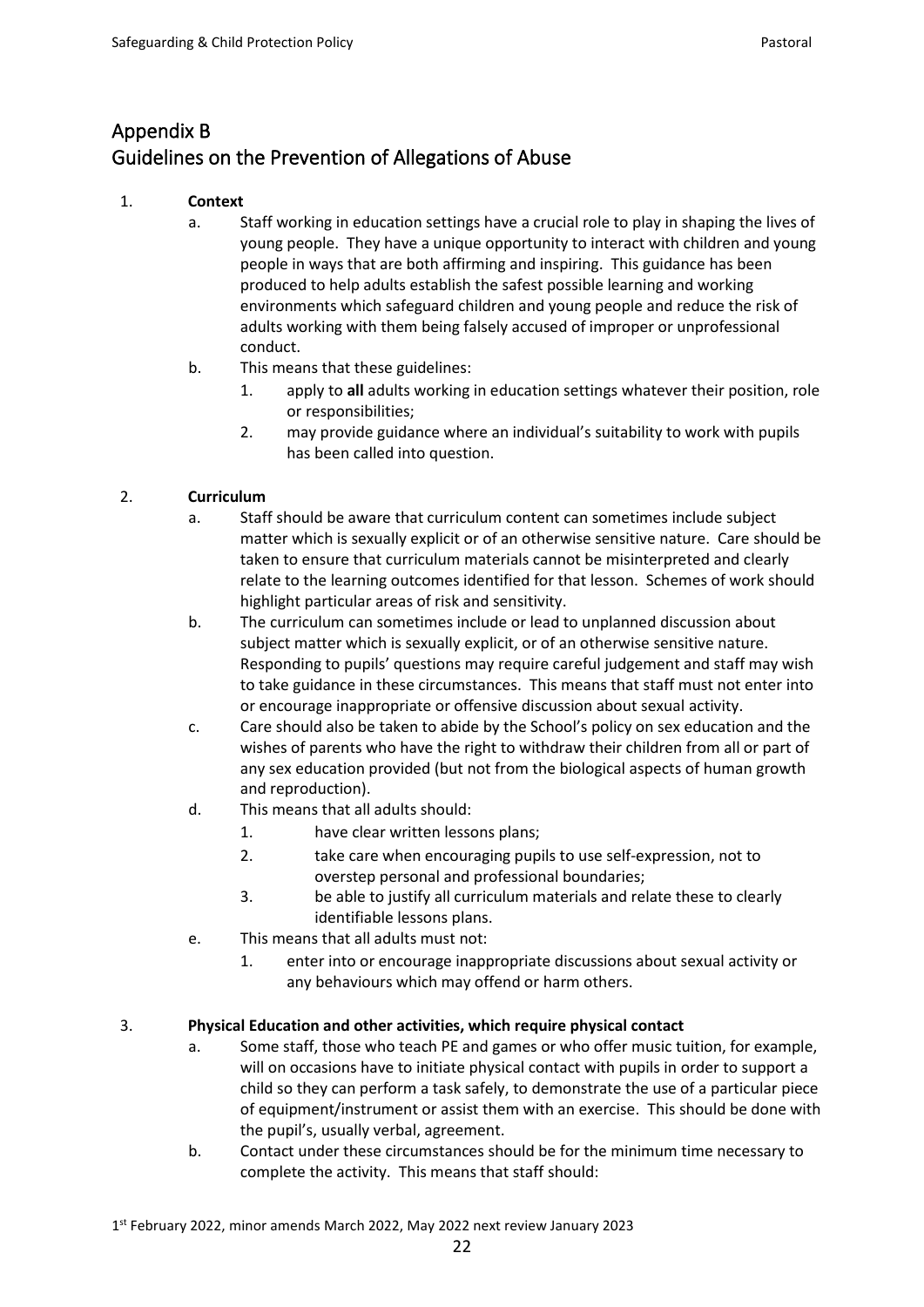# Appendix B Guidelines on the Prevention of Allegations of Abuse

# 1. **Context**

- a. Staff working in education settings have a crucial role to play in shaping the lives of young people. They have a unique opportunity to interact with children and young people in ways that are both affirming and inspiring. This guidance has been produced to help adults establish the safest possible learning and working environments which safeguard children and young people and reduce the risk of adults working with them being falsely accused of improper or unprofessional conduct.
- b. This means that these guidelines:
	- 1. apply to **all** adults working in education settings whatever their position, role or responsibilities;
	- 2. may provide guidance where an individual's suitability to work with pupils has been called into question.

# 2. **Curriculum**

- a. Staff should be aware that curriculum content can sometimes include subject matter which is sexually explicit or of an otherwise sensitive nature. Care should be taken to ensure that curriculum materials cannot be misinterpreted and clearly relate to the learning outcomes identified for that lesson. Schemes of work should highlight particular areas of risk and sensitivity.
- b. The curriculum can sometimes include or lead to unplanned discussion about subject matter which is sexually explicit, or of an otherwise sensitive nature. Responding to pupils' questions may require careful judgement and staff may wish to take guidance in these circumstances. This means that staff must not enter into or encourage inappropriate or offensive discussion about sexual activity.
- c. Care should also be taken to abide by the School's policy on sex education and the wishes of parents who have the right to withdraw their children from all or part of any sex education provided (but not from the biological aspects of human growth and reproduction).
- d. This means that all adults should:
	- 1. have clear written lessons plans;
	- 2. take care when encouraging pupils to use self-expression, not to overstep personal and professional boundaries;
	- 3. be able to justify all curriculum materials and relate these to clearly identifiable lessons plans.
- e. This means that all adults must not:
	- 1. enter into or encourage inappropriate discussions about sexual activity or any behaviours which may offend or harm others.

## 3. **Physical Education and other activities, which require physical contact**

- a. Some staff, those who teach PE and games or who offer music tuition, for example, will on occasions have to initiate physical contact with pupils in order to support a child so they can perform a task safely, to demonstrate the use of a particular piece of equipment/instrument or assist them with an exercise. This should be done with the pupil's, usually verbal, agreement.
- b. Contact under these circumstances should be for the minimum time necessary to complete the activity. This means that staff should: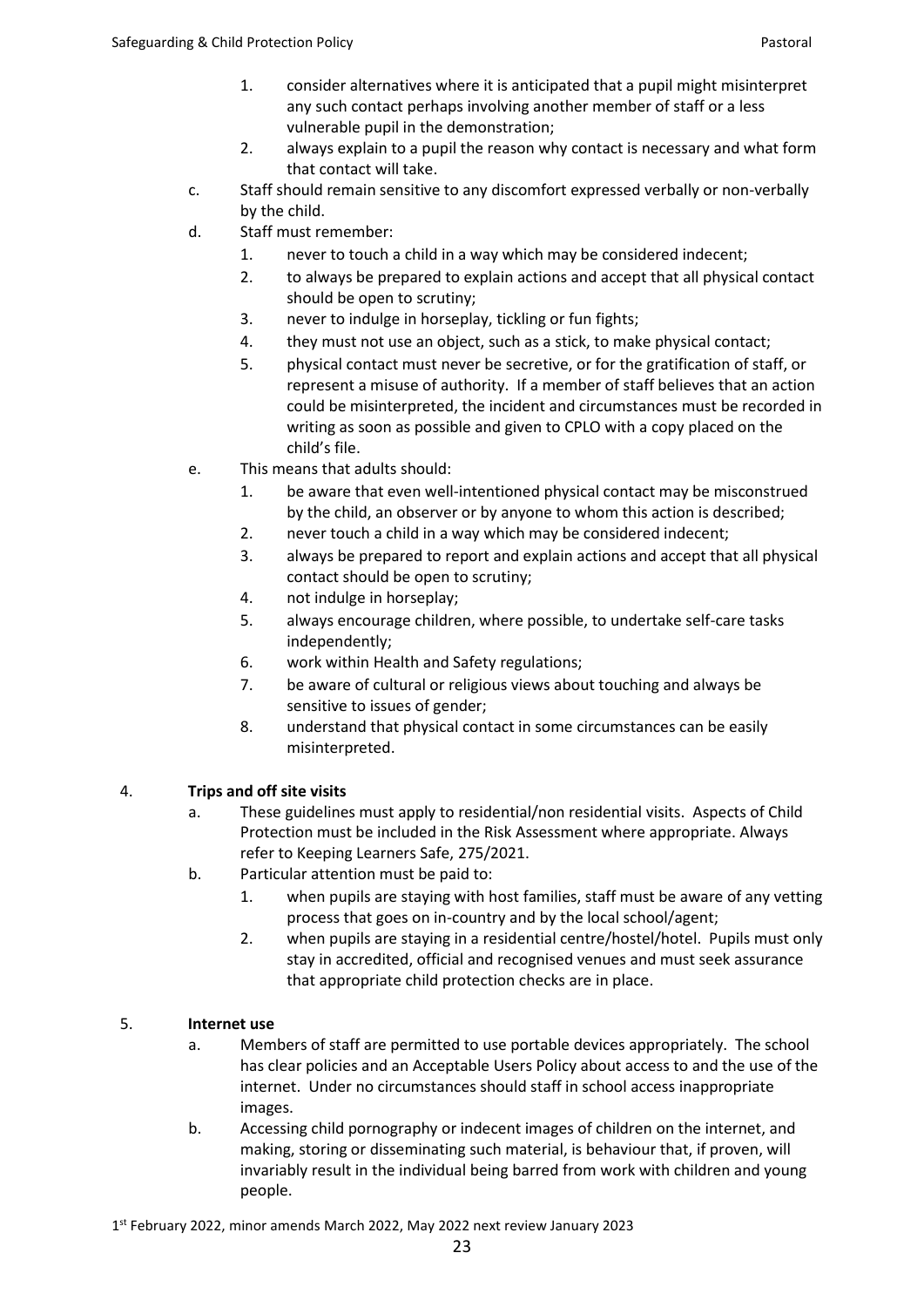- 1. consider alternatives where it is anticipated that a pupil might misinterpret any such contact perhaps involving another member of staff or a less vulnerable pupil in the demonstration;
- 2. always explain to a pupil the reason why contact is necessary and what form that contact will take.
- c. Staff should remain sensitive to any discomfort expressed verbally or non-verbally by the child.
- d. Staff must remember:
	- 1. never to touch a child in a way which may be considered indecent;
	- 2. to always be prepared to explain actions and accept that all physical contact should be open to scrutiny;
	- 3. never to indulge in horseplay, tickling or fun fights;
	- 4. they must not use an object, such as a stick, to make physical contact;
	- 5. physical contact must never be secretive, or for the gratification of staff, or represent a misuse of authority. If a member of staff believes that an action could be misinterpreted, the incident and circumstances must be recorded in writing as soon as possible and given to CPLO with a copy placed on the child's file.
- e. This means that adults should:
	- 1. be aware that even well-intentioned physical contact may be misconstrued by the child, an observer or by anyone to whom this action is described;
	- 2. never touch a child in a way which may be considered indecent;
	- 3. always be prepared to report and explain actions and accept that all physical contact should be open to scrutiny;
	- 4. not indulge in horseplay;
	- 5. always encourage children, where possible, to undertake self-care tasks independently;
	- 6. work within Health and Safety regulations;
	- 7. be aware of cultural or religious views about touching and always be sensitive to issues of gender;
	- 8. understand that physical contact in some circumstances can be easily misinterpreted.

## 4. **Trips and off site visits**

- a. These guidelines must apply to residential/non residential visits. Aspects of Child Protection must be included in the Risk Assessment where appropriate. Always refer to Keeping Learners Safe, 275/2021.
- b. Particular attention must be paid to:
	- 1. when pupils are staying with host families, staff must be aware of any vetting process that goes on in-country and by the local school/agent;
	- 2. when pupils are staying in a residential centre/hostel/hotel. Pupils must only stay in accredited, official and recognised venues and must seek assurance that appropriate child protection checks are in place.

## 5. **Internet use**

- a. Members of staff are permitted to use portable devices appropriately. The school has clear policies and an Acceptable Users Policy about access to and the use of the internet. Under no circumstances should staff in school access inappropriate images.
- b. Accessing child pornography or indecent images of children on the internet, and making, storing or disseminating such material, is behaviour that, if proven, will invariably result in the individual being barred from work with children and young people.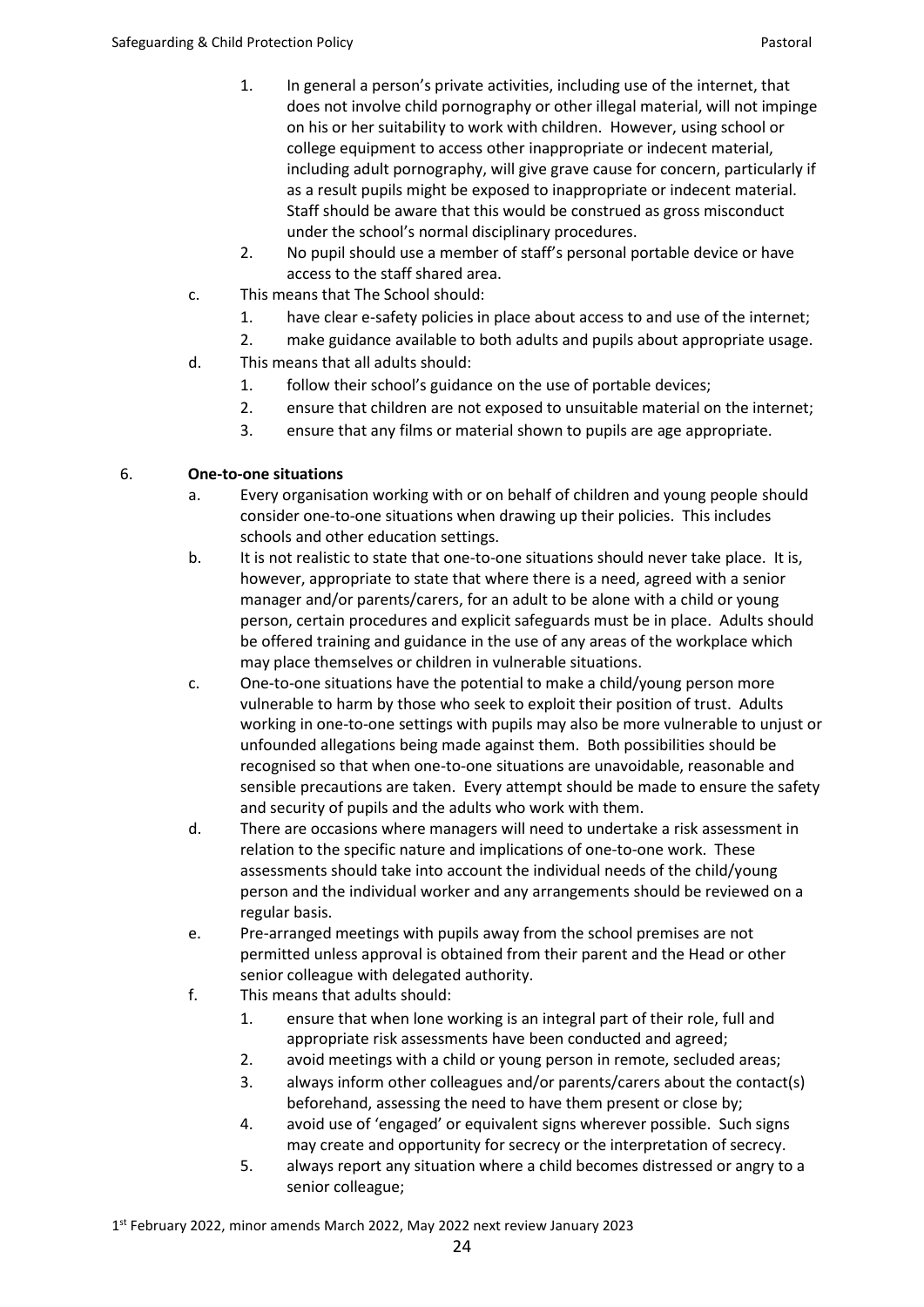- 1. In general a person's private activities, including use of the internet, that does not involve child pornography or other illegal material, will not impinge on his or her suitability to work with children. However, using school or college equipment to access other inappropriate or indecent material, including adult pornography, will give grave cause for concern, particularly if as a result pupils might be exposed to inappropriate or indecent material. Staff should be aware that this would be construed as gross misconduct under the school's normal disciplinary procedures.
- 2. No pupil should use a member of staff's personal portable device or have access to the staff shared area.
- c. This means that The School should:
	- 1. have clear e-safety policies in place about access to and use of the internet;
	- 2. make guidance available to both adults and pupils about appropriate usage.
- d. This means that all adults should:
	- 1. follow their school's guidance on the use of portable devices;
	- 2. ensure that children are not exposed to unsuitable material on the internet;
	- 3. ensure that any films or material shown to pupils are age appropriate.

# 6. **One-to-one situations**

- a. Every organisation working with or on behalf of children and young people should consider one-to-one situations when drawing up their policies. This includes schools and other education settings.
- b. It is not realistic to state that one-to-one situations should never take place. It is, however, appropriate to state that where there is a need, agreed with a senior manager and/or parents/carers, for an adult to be alone with a child or young person, certain procedures and explicit safeguards must be in place. Adults should be offered training and guidance in the use of any areas of the workplace which may place themselves or children in vulnerable situations.
- c. One-to-one situations have the potential to make a child/young person more vulnerable to harm by those who seek to exploit their position of trust. Adults working in one-to-one settings with pupils may also be more vulnerable to unjust or unfounded allegations being made against them. Both possibilities should be recognised so that when one-to-one situations are unavoidable, reasonable and sensible precautions are taken. Every attempt should be made to ensure the safety and security of pupils and the adults who work with them.
- d. There are occasions where managers will need to undertake a risk assessment in relation to the specific nature and implications of one-to-one work. These assessments should take into account the individual needs of the child/young person and the individual worker and any arrangements should be reviewed on a regular basis.
- e. Pre-arranged meetings with pupils away from the school premises are not permitted unless approval is obtained from their parent and the Head or other senior colleague with delegated authority.
- f. This means that adults should:
	- 1. ensure that when lone working is an integral part of their role, full and appropriate risk assessments have been conducted and agreed;
	- 2. avoid meetings with a child or young person in remote, secluded areas;
	- 3. always inform other colleagues and/or parents/carers about the contact(s) beforehand, assessing the need to have them present or close by;
	- 4. avoid use of 'engaged' or equivalent signs wherever possible. Such signs may create and opportunity for secrecy or the interpretation of secrecy.
	- 5. always report any situation where a child becomes distressed or angry to a senior colleague;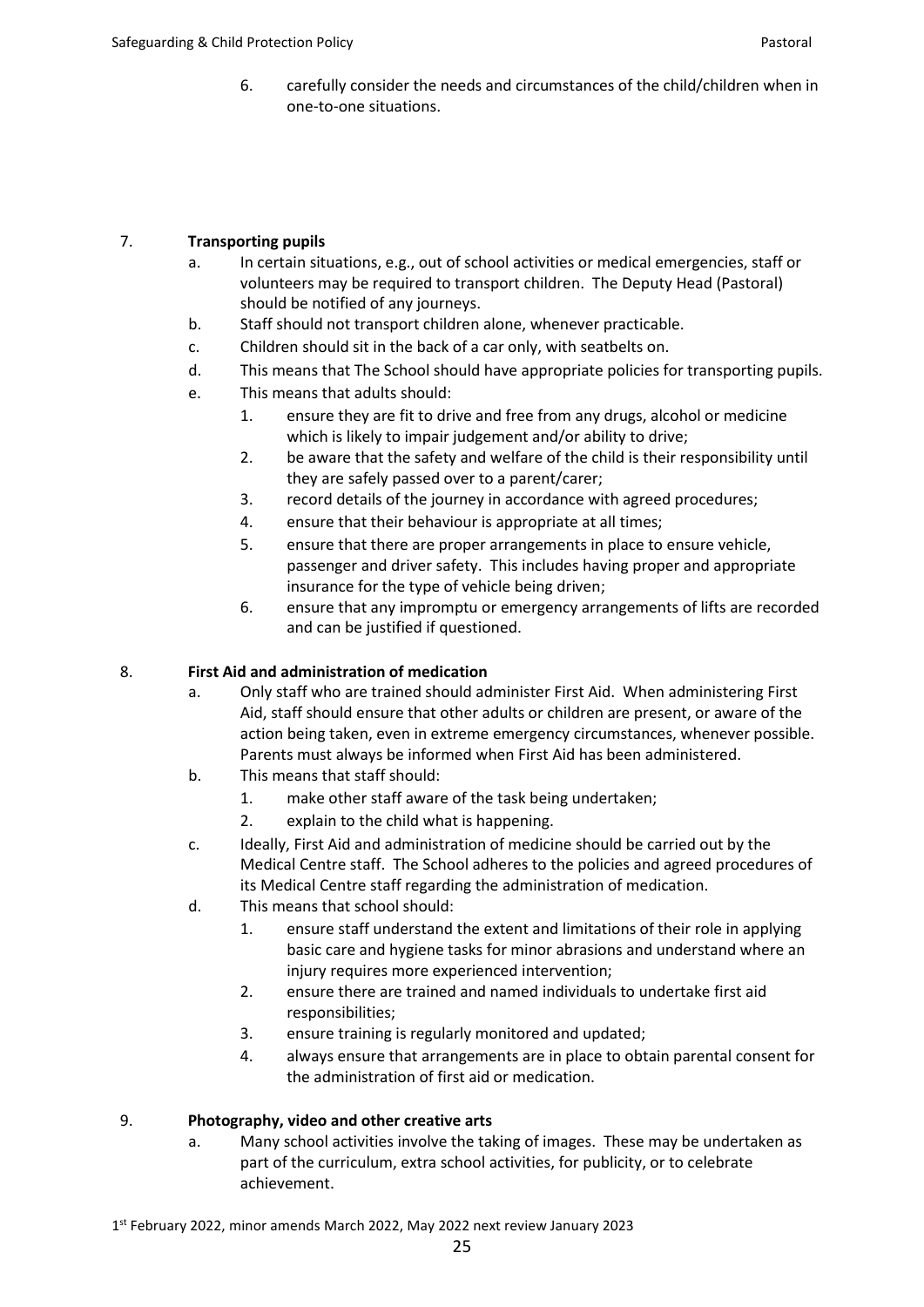6. carefully consider the needs and circumstances of the child/children when in one-to-one situations.

# 7. **Transporting pupils**

- a. In certain situations, e.g., out of school activities or medical emergencies, staff or volunteers may be required to transport children. The Deputy Head (Pastoral) should be notified of any journeys.
- b. Staff should not transport children alone, whenever practicable.
- c. Children should sit in the back of a car only, with seatbelts on.
- d. This means that The School should have appropriate policies for transporting pupils.
- e. This means that adults should:
	- 1. ensure they are fit to drive and free from any drugs, alcohol or medicine which is likely to impair judgement and/or ability to drive;
	- 2. be aware that the safety and welfare of the child is their responsibility until they are safely passed over to a parent/carer;
	- 3. record details of the journey in accordance with agreed procedures;
	- 4. ensure that their behaviour is appropriate at all times;
	- 5. ensure that there are proper arrangements in place to ensure vehicle, passenger and driver safety. This includes having proper and appropriate insurance for the type of vehicle being driven;
	- 6. ensure that any impromptu or emergency arrangements of lifts are recorded and can be justified if questioned.

## 8. **First Aid and administration of medication**

- a. Only staff who are trained should administer First Aid. When administering First Aid, staff should ensure that other adults or children are present, or aware of the action being taken, even in extreme emergency circumstances, whenever possible. Parents must always be informed when First Aid has been administered.
- b. This means that staff should:
	- 1. make other staff aware of the task being undertaken;
	- 2. explain to the child what is happening.
- c. Ideally, First Aid and administration of medicine should be carried out by the Medical Centre staff. The School adheres to the policies and agreed procedures of its Medical Centre staff regarding the administration of medication.
- d. This means that school should:
	- 1. ensure staff understand the extent and limitations of their role in applying basic care and hygiene tasks for minor abrasions and understand where an injury requires more experienced intervention;
	- 2. ensure there are trained and named individuals to undertake first aid responsibilities;
	- 3. ensure training is regularly monitored and updated;
	- 4. always ensure that arrangements are in place to obtain parental consent for the administration of first aid or medication.

## 9. **Photography, video and other creative arts**

a. Many school activities involve the taking of images. These may be undertaken as part of the curriculum, extra school activities, for publicity, or to celebrate achievement.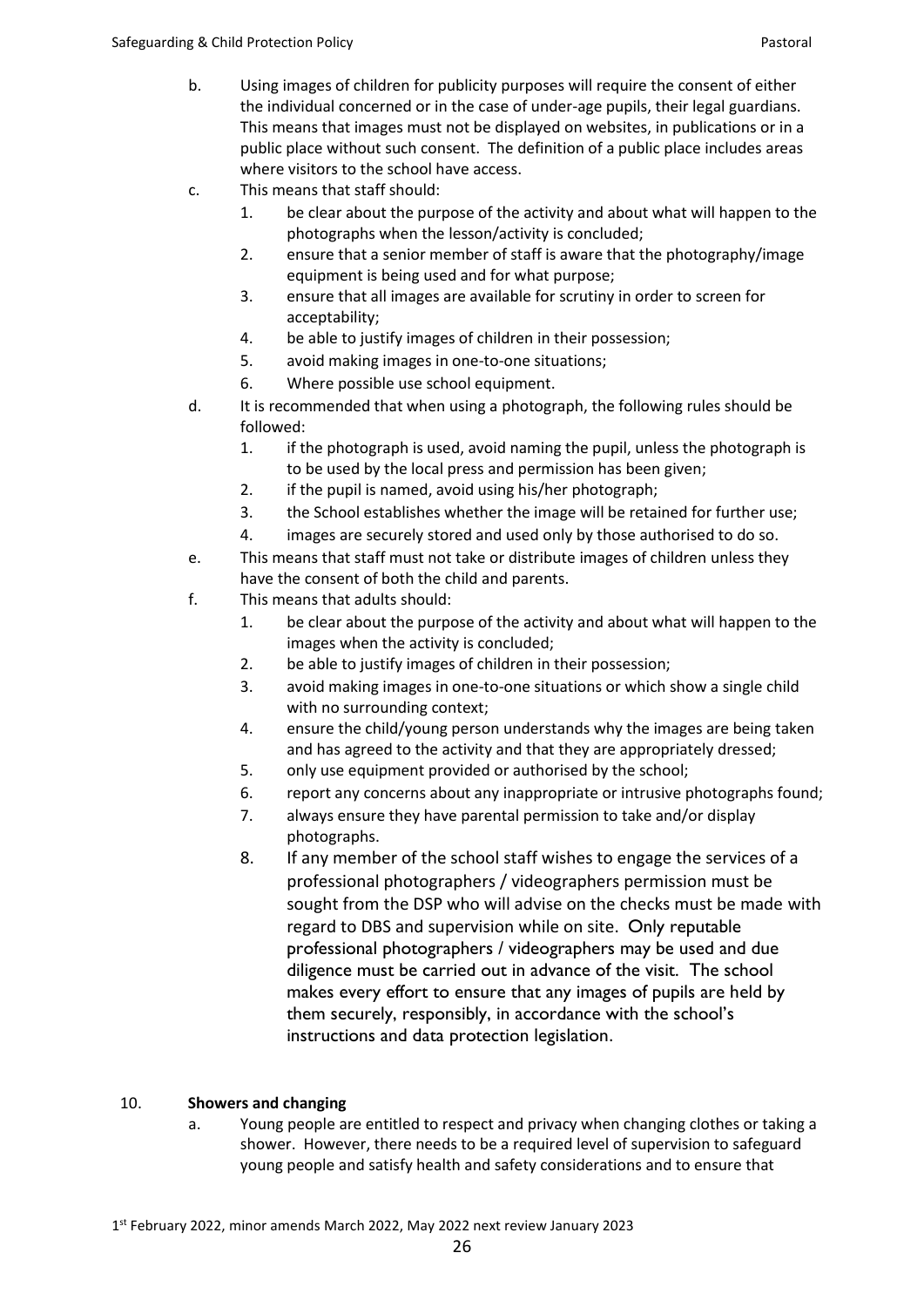- b. Using images of children for publicity purposes will require the consent of either the individual concerned or in the case of under-age pupils, their legal guardians. This means that images must not be displayed on websites, in publications or in a public place without such consent. The definition of a public place includes areas where visitors to the school have access.
- c. This means that staff should:
	- 1. be clear about the purpose of the activity and about what will happen to the photographs when the lesson/activity is concluded;
	- 2. ensure that a senior member of staff is aware that the photography/image equipment is being used and for what purpose;
	- 3. ensure that all images are available for scrutiny in order to screen for acceptability;
	- 4. be able to justify images of children in their possession;
	- 5. avoid making images in one-to-one situations;
	- 6. Where possible use school equipment.
- d. It is recommended that when using a photograph, the following rules should be followed:
	- 1. if the photograph is used, avoid naming the pupil, unless the photograph is to be used by the local press and permission has been given;
	- 2. if the pupil is named, avoid using his/her photograph;
	- 3. the School establishes whether the image will be retained for further use;
	- 4. images are securely stored and used only by those authorised to do so.
- e. This means that staff must not take or distribute images of children unless they have the consent of both the child and parents.
- f. This means that adults should:
	- 1. be clear about the purpose of the activity and about what will happen to the images when the activity is concluded;
	- 2. be able to justify images of children in their possession;
	- 3. avoid making images in one-to-one situations or which show a single child with no surrounding context;
	- 4. ensure the child/young person understands why the images are being taken and has agreed to the activity and that they are appropriately dressed;
	- 5. only use equipment provided or authorised by the school;
	- 6. report any concerns about any inappropriate or intrusive photographs found;
	- 7. always ensure they have parental permission to take and/or display photographs.
	- 8. If any member of the school staff wishes to engage the services of a professional photographers / videographers permission must be sought from the DSP who will advise on the checks must be made with regard to DBS and supervision while on site. Only reputable professional photographers / videographers may be used and due diligence must be carried out in advance of the visit. The school makes every effort to ensure that any images of pupils are held by them securely, responsibly, in accordance with the school's instructions and data protection legislation.

# 10. **Showers and changing**

a. Young people are entitled to respect and privacy when changing clothes or taking a shower. However, there needs to be a required level of supervision to safeguard young people and satisfy health and safety considerations and to ensure that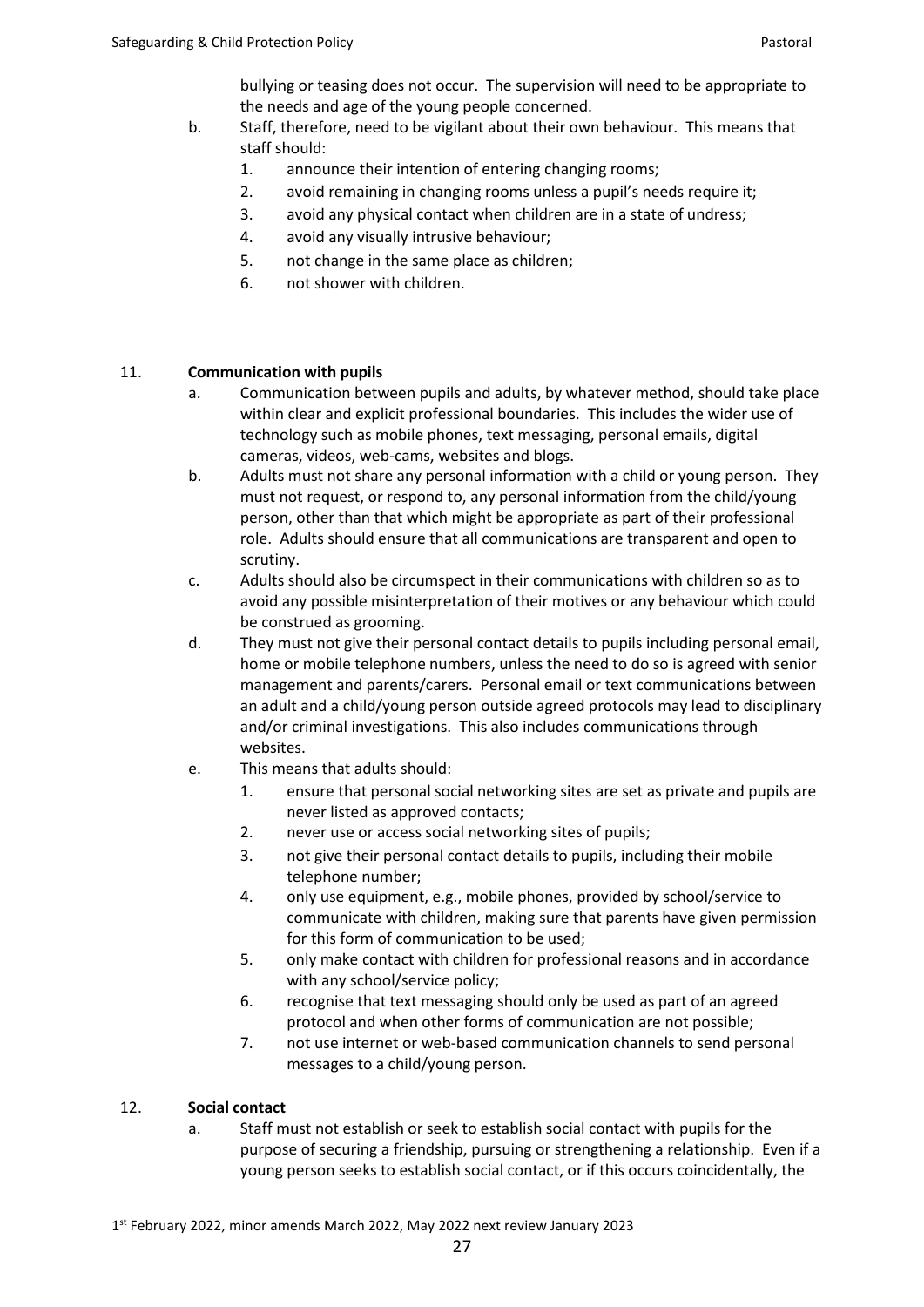bullying or teasing does not occur. The supervision will need to be appropriate to the needs and age of the young people concerned.

- b. Staff, therefore, need to be vigilant about their own behaviour. This means that staff should:
	- 1. announce their intention of entering changing rooms;
	- 2. avoid remaining in changing rooms unless a pupil's needs require it;
	- 3. avoid any physical contact when children are in a state of undress;
	- 4. avoid any visually intrusive behaviour;
	- 5. not change in the same place as children;
	- 6. not shower with children.

# 11. **Communication with pupils**

- a. Communication between pupils and adults, by whatever method, should take place within clear and explicit professional boundaries. This includes the wider use of technology such as mobile phones, text messaging, personal emails, digital cameras, videos, web-cams, websites and blogs.
- b. Adults must not share any personal information with a child or young person. They must not request, or respond to, any personal information from the child/young person, other than that which might be appropriate as part of their professional role. Adults should ensure that all communications are transparent and open to scrutiny.
- c. Adults should also be circumspect in their communications with children so as to avoid any possible misinterpretation of their motives or any behaviour which could be construed as grooming.
- d. They must not give their personal contact details to pupils including personal email, home or mobile telephone numbers, unless the need to do so is agreed with senior management and parents/carers. Personal email or text communications between an adult and a child/young person outside agreed protocols may lead to disciplinary and/or criminal investigations. This also includes communications through websites.
- e. This means that adults should:
	- 1. ensure that personal social networking sites are set as private and pupils are never listed as approved contacts;
	- 2. never use or access social networking sites of pupils;
	- 3. not give their personal contact details to pupils, including their mobile telephone number;
	- 4. only use equipment, e.g., mobile phones, provided by school/service to communicate with children, making sure that parents have given permission for this form of communication to be used;
	- 5. only make contact with children for professional reasons and in accordance with any school/service policy;
	- 6. recognise that text messaging should only be used as part of an agreed protocol and when other forms of communication are not possible;
	- 7. not use internet or web-based communication channels to send personal messages to a child/young person.

## 12. **Social contact**

a. Staff must not establish or seek to establish social contact with pupils for the purpose of securing a friendship, pursuing or strengthening a relationship. Even if a young person seeks to establish social contact, or if this occurs coincidentally, the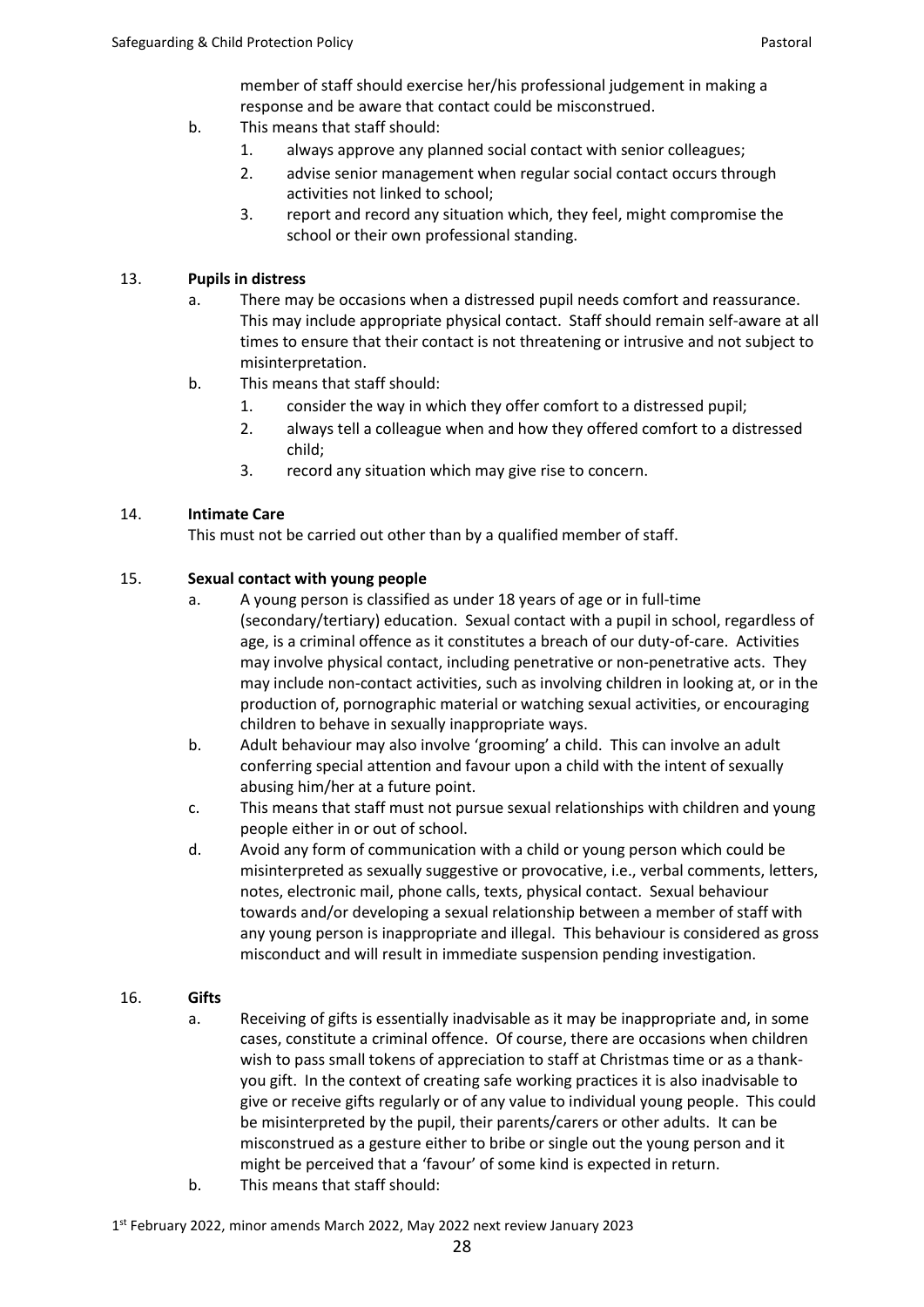member of staff should exercise her/his professional judgement in making a response and be aware that contact could be misconstrued.

- b. This means that staff should:
	- 1. always approve any planned social contact with senior colleagues;
	- 2. advise senior management when regular social contact occurs through activities not linked to school;
	- 3. report and record any situation which, they feel, might compromise the school or their own professional standing.

### 13. **Pupils in distress**

- a. There may be occasions when a distressed pupil needs comfort and reassurance. This may include appropriate physical contact. Staff should remain self-aware at all times to ensure that their contact is not threatening or intrusive and not subject to misinterpretation.
- b. This means that staff should:
	- 1. consider the way in which they offer comfort to a distressed pupil;
	- 2. always tell a colleague when and how they offered comfort to a distressed child;
	- 3. record any situation which may give rise to concern.

## 14. **Intimate Care**

This must not be carried out other than by a qualified member of staff.

## 15. **Sexual contact with young people**

- a. A young person is classified as under 18 years of age or in full-time (secondary/tertiary) education. Sexual contact with a pupil in school, regardless of age, is a criminal offence as it constitutes a breach of our duty-of-care. Activities may involve physical contact, including penetrative or non-penetrative acts. They may include non-contact activities, such as involving children in looking at, or in the production of, pornographic material or watching sexual activities, or encouraging children to behave in sexually inappropriate ways.
- b. Adult behaviour may also involve 'grooming' a child. This can involve an adult conferring special attention and favour upon a child with the intent of sexually abusing him/her at a future point.
- c. This means that staff must not pursue sexual relationships with children and young people either in or out of school.
- d. Avoid any form of communication with a child or young person which could be misinterpreted as sexually suggestive or provocative, i.e., verbal comments, letters, notes, electronic mail, phone calls, texts, physical contact. Sexual behaviour towards and/or developing a sexual relationship between a member of staff with any young person is inappropriate and illegal. This behaviour is considered as gross misconduct and will result in immediate suspension pending investigation.

## 16. **Gifts**

- a. Receiving of gifts is essentially inadvisable as it may be inappropriate and, in some cases, constitute a criminal offence. Of course, there are occasions when children wish to pass small tokens of appreciation to staff at Christmas time or as a thankyou gift. In the context of creating safe working practices it is also inadvisable to give or receive gifts regularly or of any value to individual young people. This could be misinterpreted by the pupil, their parents/carers or other adults. It can be misconstrued as a gesture either to bribe or single out the young person and it might be perceived that a 'favour' of some kind is expected in return.
- b. This means that staff should: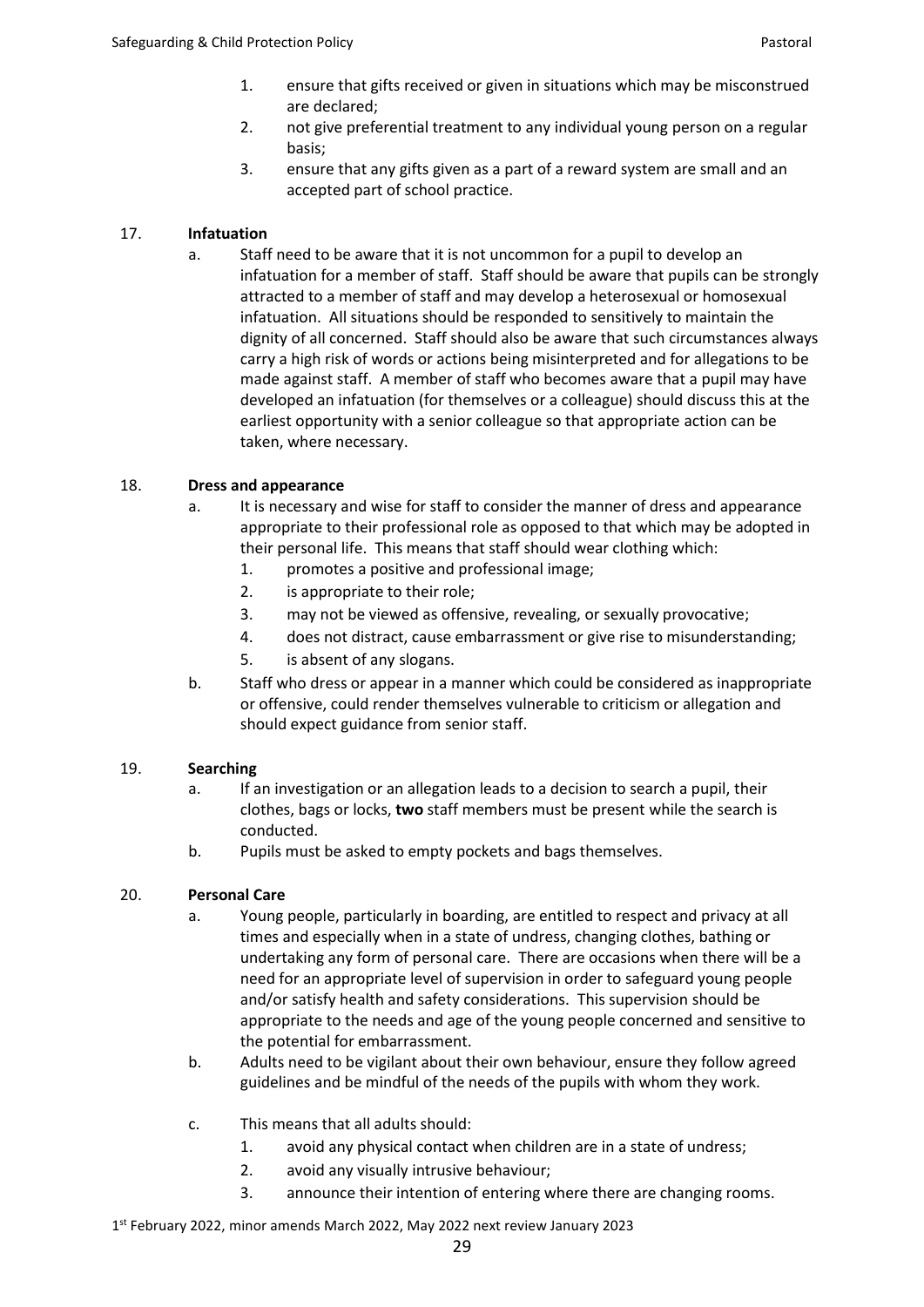- 1. ensure that gifts received or given in situations which may be misconstrued are declared;
- 2. not give preferential treatment to any individual young person on a regular basis;
- 3. ensure that any gifts given as a part of a reward system are small and an accepted part of school practice.

# 17. **Infatuation**

a. Staff need to be aware that it is not uncommon for a pupil to develop an infatuation for a member of staff. Staff should be aware that pupils can be strongly attracted to a member of staff and may develop a heterosexual or homosexual infatuation. All situations should be responded to sensitively to maintain the dignity of all concerned. Staff should also be aware that such circumstances always carry a high risk of words or actions being misinterpreted and for allegations to be made against staff. A member of staff who becomes aware that a pupil may have developed an infatuation (for themselves or a colleague) should discuss this at the earliest opportunity with a senior colleague so that appropriate action can be taken, where necessary.

# 18. **Dress and appearance**

- a. It is necessary and wise for staff to consider the manner of dress and appearance appropriate to their professional role as opposed to that which may be adopted in their personal life. This means that staff should wear clothing which:
	- 1. promotes a positive and professional image;
	- 2. is appropriate to their role;
	- 3. may not be viewed as offensive, revealing, or sexually provocative;
	- 4. does not distract, cause embarrassment or give rise to misunderstanding;
	- 5. is absent of any slogans.
- b. Staff who dress or appear in a manner which could be considered as inappropriate or offensive, could render themselves vulnerable to criticism or allegation and should expect guidance from senior staff.

## 19. **Searching**

- a. If an investigation or an allegation leads to a decision to search a pupil, their clothes, bags or locks, **two** staff members must be present while the search is conducted.
- b. Pupils must be asked to empty pockets and bags themselves.

# 20. **Personal Care**

- a. Young people, particularly in boarding, are entitled to respect and privacy at all times and especially when in a state of undress, changing clothes, bathing or undertaking any form of personal care. There are occasions when there will be a need for an appropriate level of supervision in order to safeguard young people and/or satisfy health and safety considerations. This supervision should be appropriate to the needs and age of the young people concerned and sensitive to the potential for embarrassment.
- b. Adults need to be vigilant about their own behaviour, ensure they follow agreed guidelines and be mindful of the needs of the pupils with whom they work.
- c. This means that all adults should:
	- 1. avoid any physical contact when children are in a state of undress;
	- 2. avoid any visually intrusive behaviour;
	- 3. announce their intention of entering where there are changing rooms.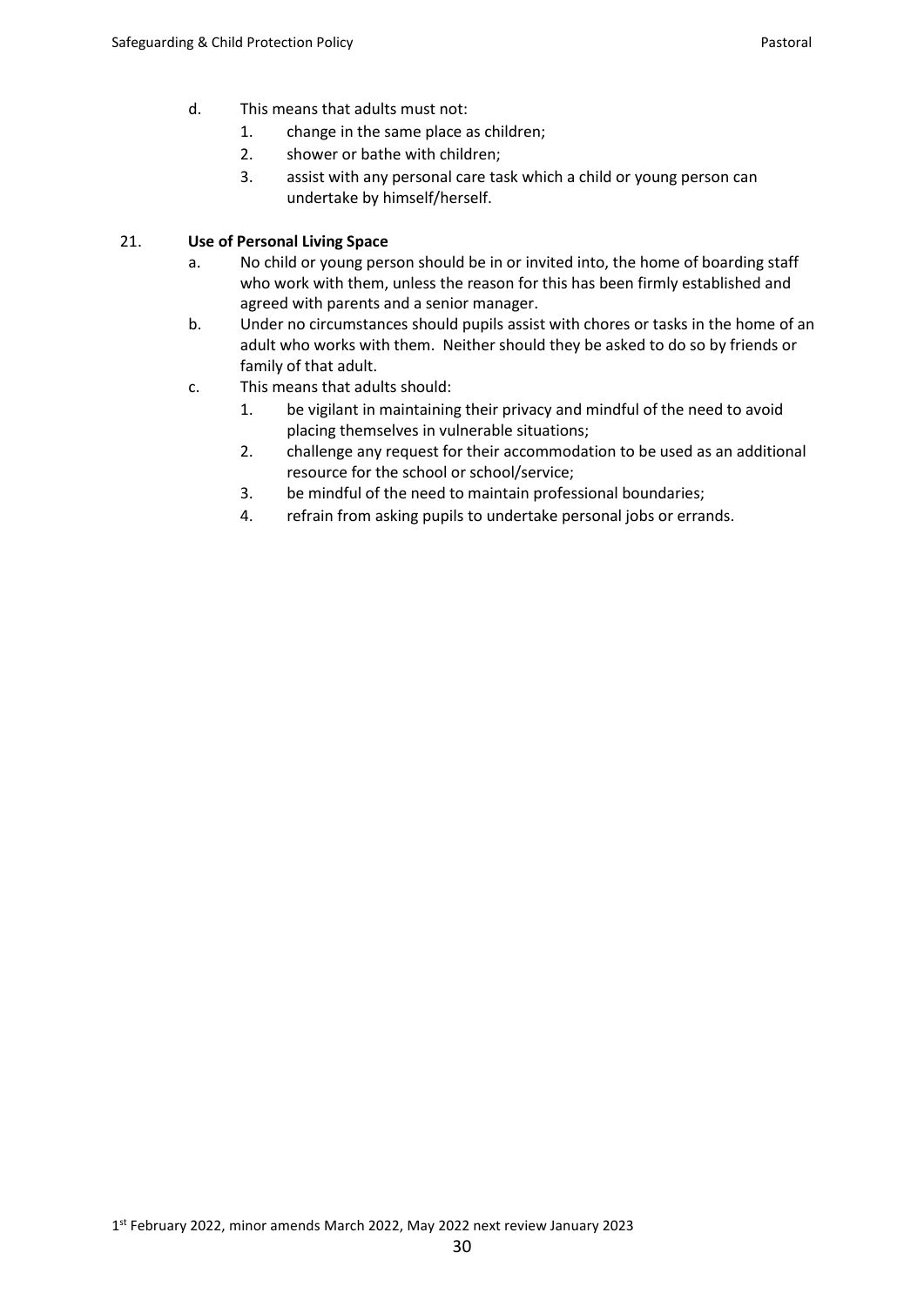- d. This means that adults must not:
	- 1. change in the same place as children;
	- 2. shower or bathe with children;
	- 3. assist with any personal care task which a child or young person can undertake by himself/herself.

## 21. **Use of Personal Living Space**

- a. No child or young person should be in or invited into, the home of boarding staff who work with them, unless the reason for this has been firmly established and agreed with parents and a senior manager.
- b. Under no circumstances should pupils assist with chores or tasks in the home of an adult who works with them. Neither should they be asked to do so by friends or family of that adult.
- c. This means that adults should:
	- 1. be vigilant in maintaining their privacy and mindful of the need to avoid placing themselves in vulnerable situations;
	- 2. challenge any request for their accommodation to be used as an additional resource for the school or school/service;
	- 3. be mindful of the need to maintain professional boundaries;
	- 4. refrain from asking pupils to undertake personal jobs or errands.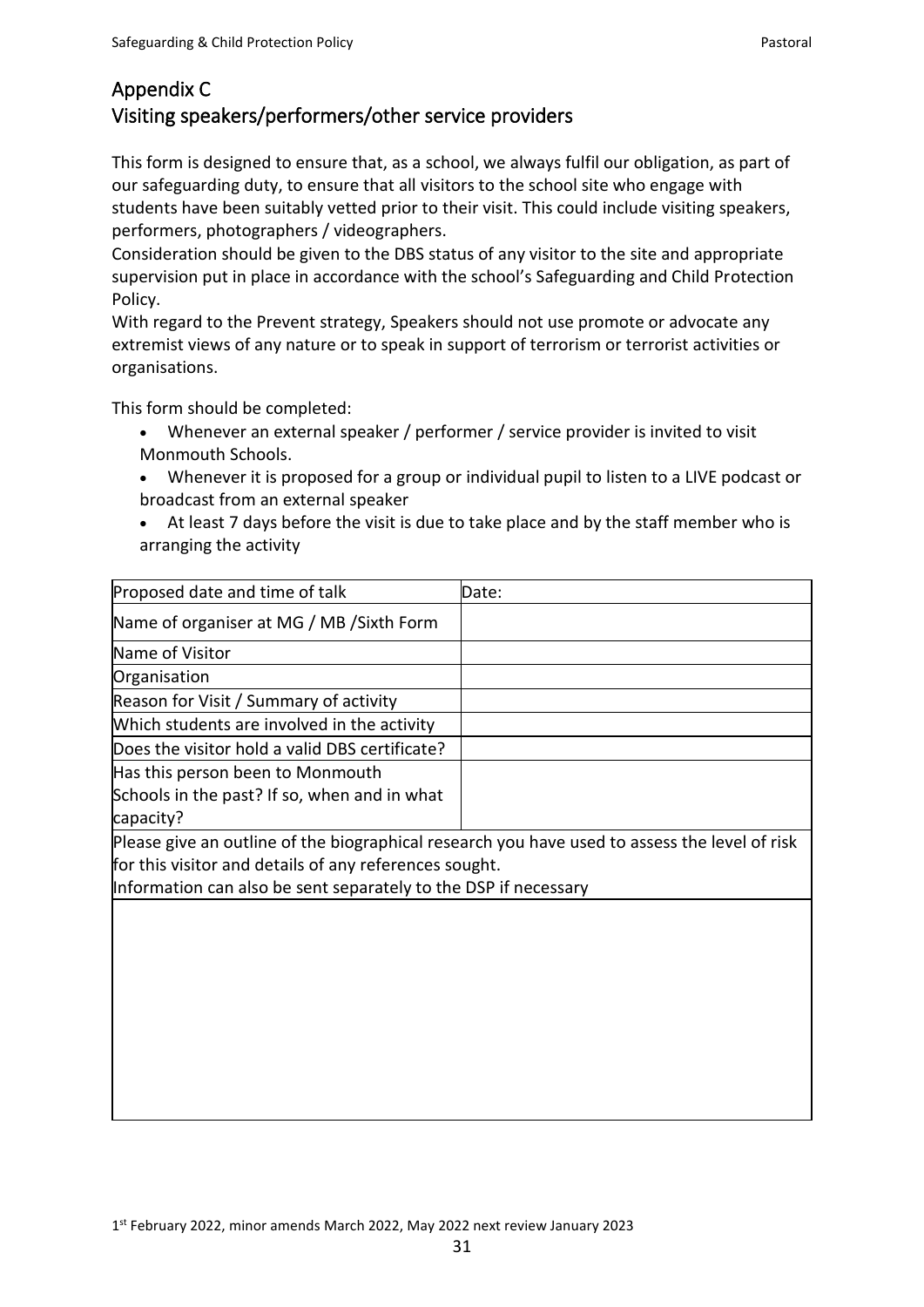# Appendix C Visiting speakers/performers/other service providers

This form is designed to ensure that, as a school, we always fulfil our obligation, as part of our safeguarding duty, to ensure that all visitors to the school site who engage with students have been suitably vetted prior to their visit. This could include visiting speakers, performers, photographers / videographers.

Consideration should be given to the DBS status of any visitor to the site and appropriate supervision put in place in accordance with the school's Safeguarding and Child Protection Policy.

With regard to the Prevent strategy, Speakers should not use promote or advocate any extremist views of any nature or to speak in support of terrorism or terrorist activities or organisations.

This form should be completed:

- Whenever an external speaker / performer / service provider is invited to visit Monmouth Schools.
- Whenever it is proposed for a group or individual pupil to listen to a LIVE podcast or broadcast from an external speaker
- At least 7 days before the visit is due to take place and by the staff member who is arranging the activity

| Proposed date and time of talk                                                                | Date: |
|-----------------------------------------------------------------------------------------------|-------|
| Name of organiser at MG / MB / Sixth Form                                                     |       |
| Name of Visitor                                                                               |       |
| Organisation                                                                                  |       |
| Reason for Visit / Summary of activity                                                        |       |
| Which students are involved in the activity                                                   |       |
| Does the visitor hold a valid DBS certificate?                                                |       |
| Has this person been to Monmouth                                                              |       |
| Schools in the past? If so, when and in what                                                  |       |
| capacity?                                                                                     |       |
| Please give an outline of the biographical research you have used to assess the level of risk |       |
| for this visitor and details of any references sought.                                        |       |
| Information can also be sent separately to the DSP if necessary                               |       |
|                                                                                               |       |
|                                                                                               |       |
|                                                                                               |       |
|                                                                                               |       |
|                                                                                               |       |
|                                                                                               |       |
|                                                                                               |       |
|                                                                                               |       |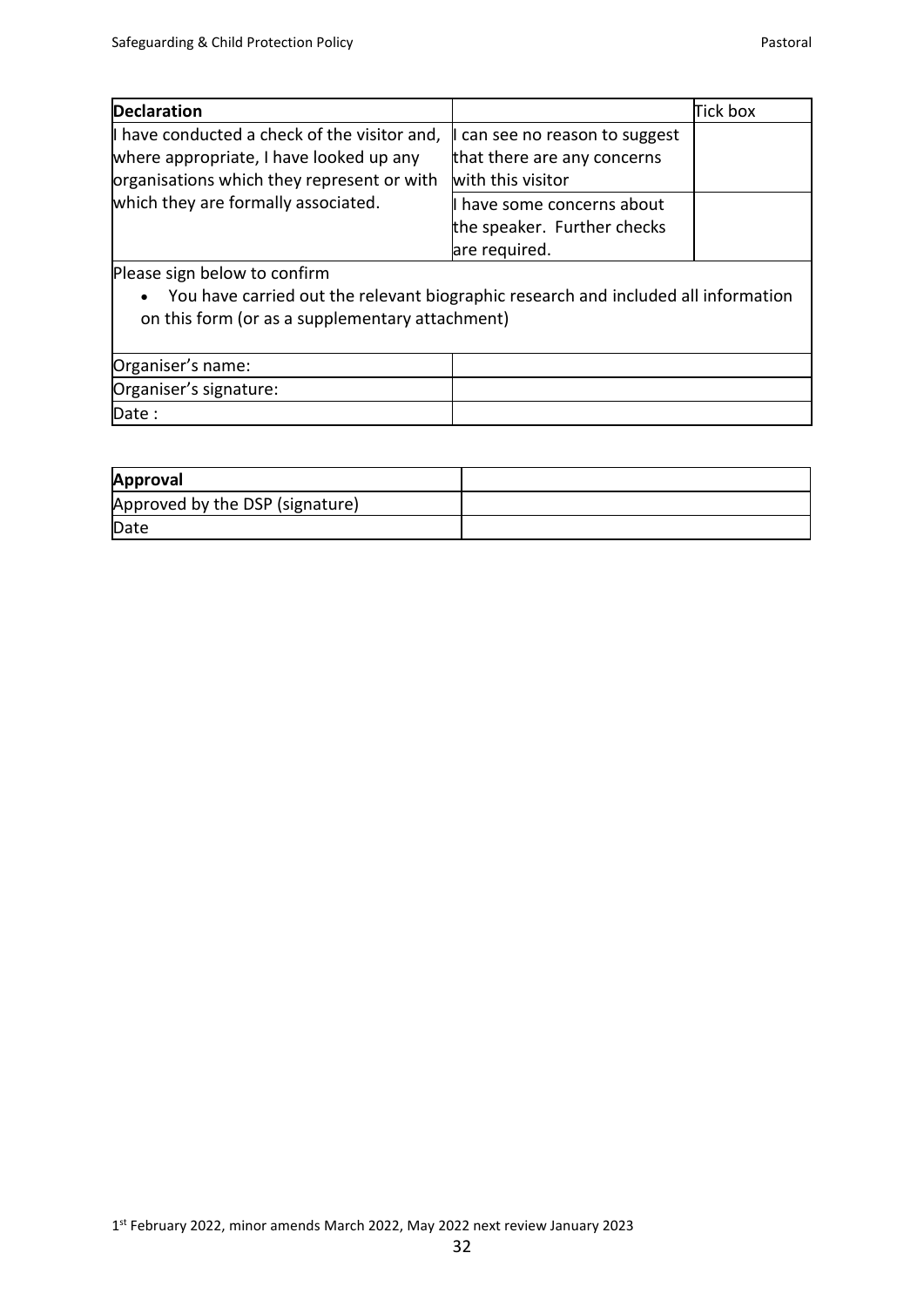| <b>Declaration</b>                           |                                | Tick box |
|----------------------------------------------|--------------------------------|----------|
| I have conducted a check of the visitor and, | I can see no reason to suggest |          |
| where appropriate, I have looked up any      | that there are any concerns    |          |
| organisations which they represent or with   | with this visitor              |          |
| which they are formally associated.          | I have some concerns about     |          |
|                                              | the speaker. Further checks    |          |
|                                              | are required.                  |          |

Please sign below to confirm

• You have carried out the relevant biographic research and included all information on this form (or as a supplementary attachment)

| Organiser's name:      |  |
|------------------------|--|
| Organiser's signature: |  |
| Date:                  |  |

| Approval                        |  |
|---------------------------------|--|
| Approved by the DSP (signature) |  |
| Date                            |  |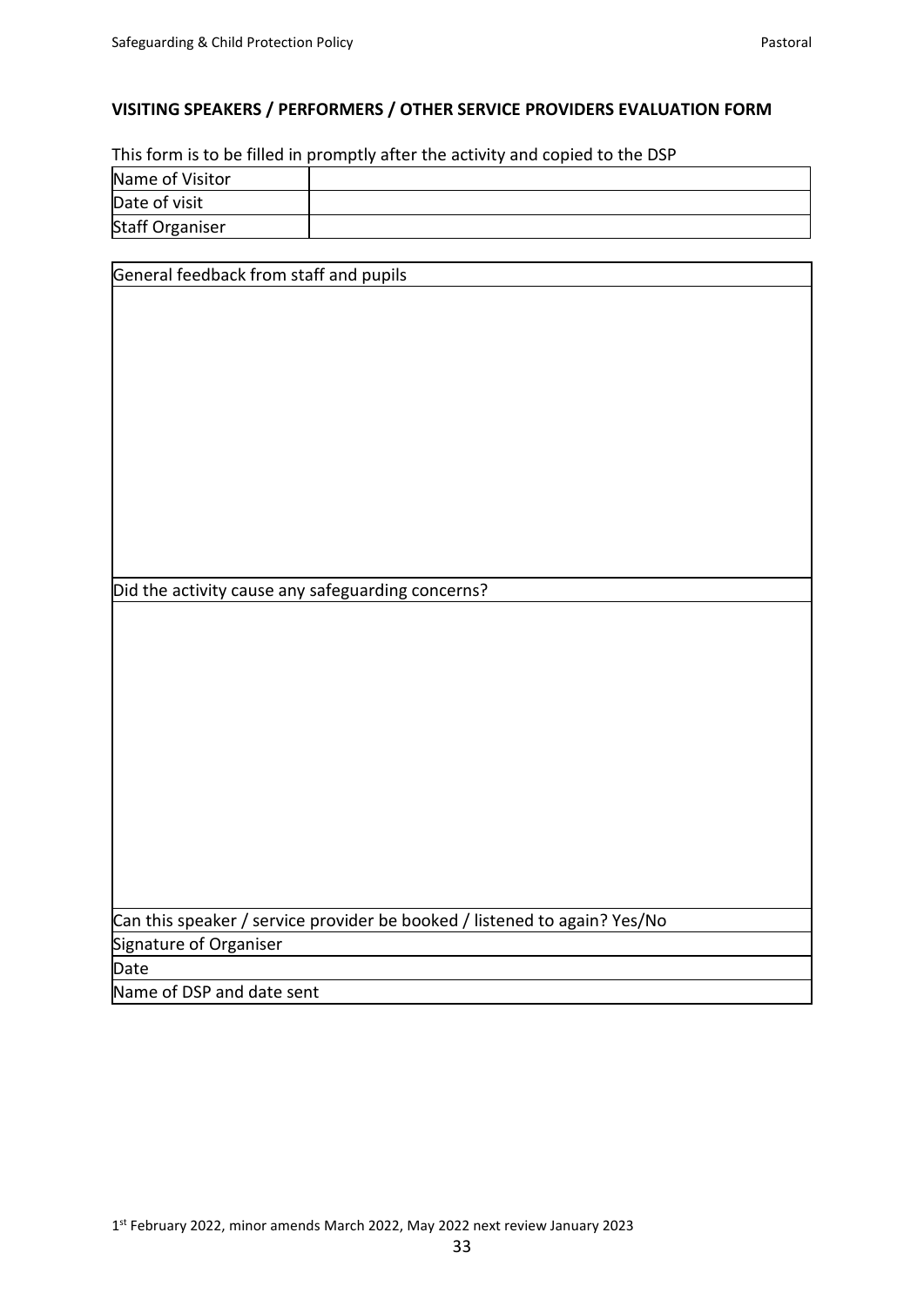# **VISITING SPEAKERS / PERFORMERS / OTHER SERVICE PROVIDERS EVALUATION FORM**

This form is to be filled in promptly after the activity and copied to the DSP

| Name of Visitor        |  |
|------------------------|--|
| Date of visit          |  |
| <b>Staff Organiser</b> |  |

| General feedback from staff and pupils                                    |
|---------------------------------------------------------------------------|
|                                                                           |
|                                                                           |
|                                                                           |
|                                                                           |
|                                                                           |
|                                                                           |
|                                                                           |
|                                                                           |
|                                                                           |
|                                                                           |
|                                                                           |
|                                                                           |
|                                                                           |
|                                                                           |
| Did the activity cause any safeguarding concerns?                         |
|                                                                           |
|                                                                           |
|                                                                           |
|                                                                           |
|                                                                           |
|                                                                           |
|                                                                           |
|                                                                           |
|                                                                           |
|                                                                           |
|                                                                           |
|                                                                           |
|                                                                           |
|                                                                           |
| Can this speaker / service provider be booked / listened to again? Yes/No |
| Signature of Organiser                                                    |
| Date                                                                      |
| Name of DSP and date sent                                                 |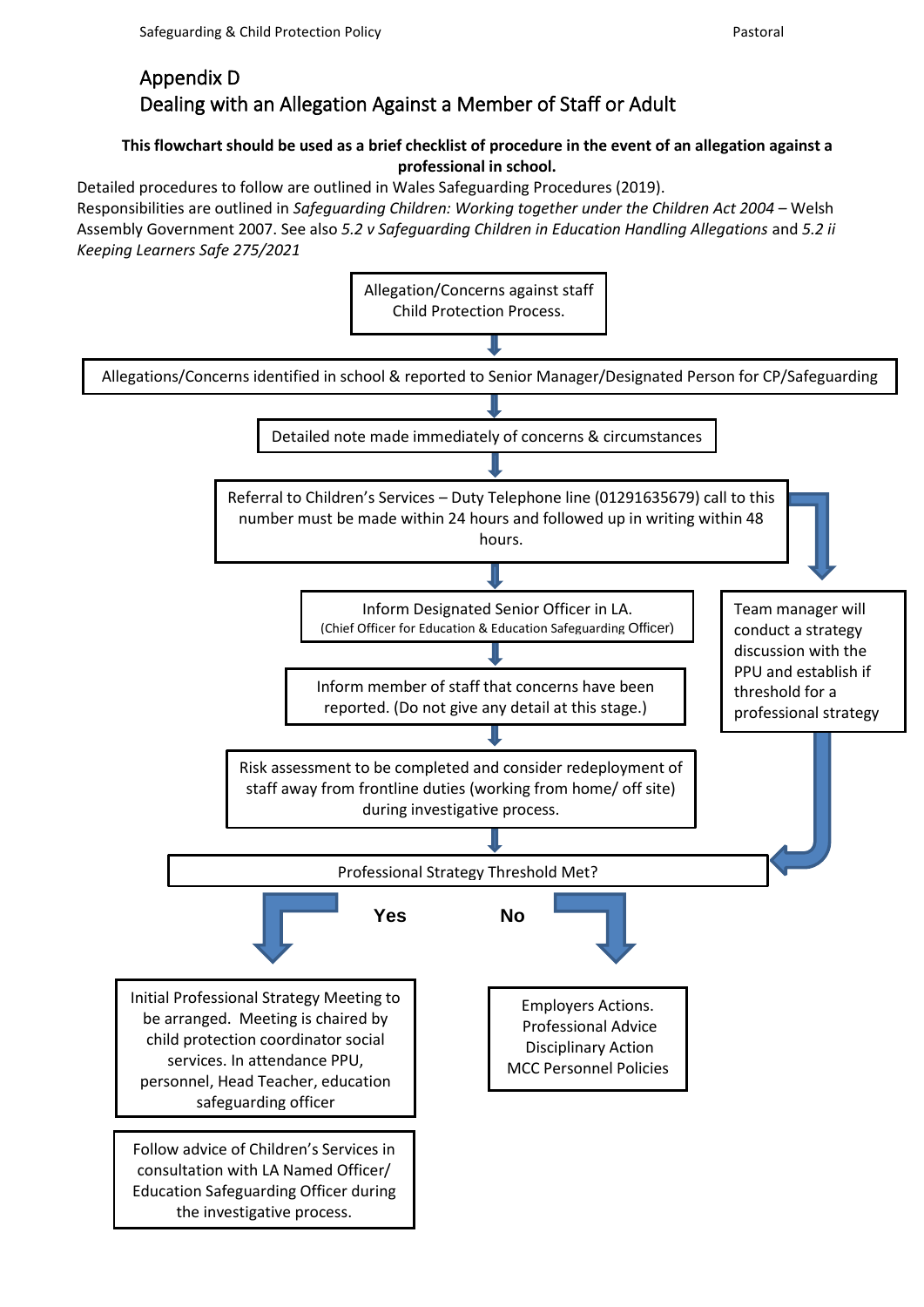# **This flowchart should be used as a brief checklist of procedure in the event of an allegation against a professional in school.**

Detailed procedures to follow are outlined in Wales Safeguarding Procedures (2019). Responsibilities are outlined in *Safeguarding Children: Working together under the Children Act 2004* – Welsh Assembly Government 2007. See also *5.2 v Safeguarding Children in Education Handling Allegations* and *5.2 ii Keeping Learners Safe 275/2021*